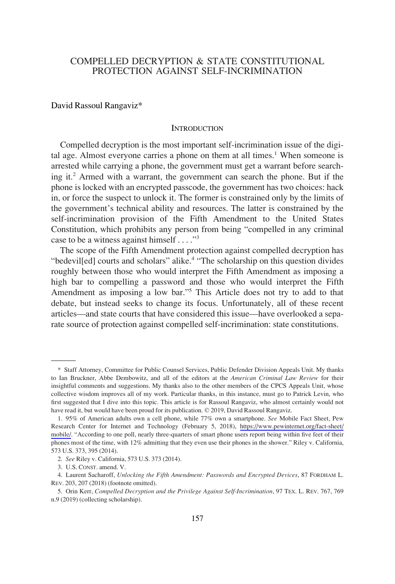# COMPELLED DECRYPTION & STATE CONSTITUTIONAL PROTECTION AGAINST SELF-INCRIMINATION

David Rassoul Rangaviz\*

#### **INTRODUCTION**

Compelled decryption is the most important self-incrimination issue of the digital age. Almost everyone carries a phone on them at all times.<sup>1</sup> When someone is arrested while carrying a phone, the government must get a warrant before searching it.2 Armed with a warrant, the government can search the phone. But if the phone is locked with an encrypted passcode, the government has two choices: hack in, or force the suspect to unlock it. The former is constrained only by the limits of the government's technical ability and resources. The latter is constrained by the self-incrimination provision of the Fifth Amendment to the United States Constitution, which prohibits any person from being "compelled in any criminal case to be a witness against himself . . . ."3

The scope of the Fifth Amendment protection against compelled decryption has "bedevil<sup>[ed]</sup> courts and scholars" alike.<sup>4</sup> "The scholarship on this question divides roughly between those who would interpret the Fifth Amendment as imposing a high bar to compelling a password and those who would interpret the Fifth Amendment as imposing a low bar."5 This Article does not try to add to that debate, but instead seeks to change its focus. Unfortunately, all of these recent articles—and state courts that have considered this issue—have overlooked a separate source of protection against compelled self-incrimination: state constitutions.

<sup>\*</sup> Staff Attorney, Committee for Public Counsel Services, Public Defender Division Appeals Unit. My thanks to Ian Bruckner, Abbe Dembowitz, and all of the editors at the *American Criminal Law Review* for their insightful comments and suggestions. My thanks also to the other members of the CPCS Appeals Unit, whose collective wisdom improves all of my work. Particular thanks, in this instance, must go to Patrick Levin, who first suggested that I dive into this topic. This article is for Rassoul Rangaviz, who almost certainly would not have read it, but would have been proud for its publication. © 2019, David Rassoul Rangaviz.

<sup>95%</sup> of American adults own a cell phone, while 77% own a smartphone. *See* Mobile Fact Sheet, Pew 1. Research Center for Internet and Technology (February 5, 2018), [https://www.pewinternet.org/fact-sheet/](https://www.pewinternet.org/fact-sheet/mobile/)  [mobile/.](https://www.pewinternet.org/fact-sheet/mobile/) "According to one poll, nearly three-quarters of smart phone users report being within five feet of their phones most of the time, with 12% admitting that they even use their phones in the shower." Riley v. California, 573 U.S. 373, 395 (2014).

<sup>2.</sup> *See* Riley v. California, 573 U.S. 373 (2014).

<sup>3.</sup> U.S. CONST. amend. V.

<sup>4.</sup> Laurent Sacharoff, *Unlocking the Fifth Amendment: Passwords and Encrypted Devices*, 87 FORDHAM L. REV. 203, 207 (2018) (footnote omitted).

<sup>5.</sup> Orin Kerr, *Compelled Decryption and the Privilege Against Self-Incrimination*, 97 TEX. L. REV. 767, 769 n.9 (2019) (collecting scholarship).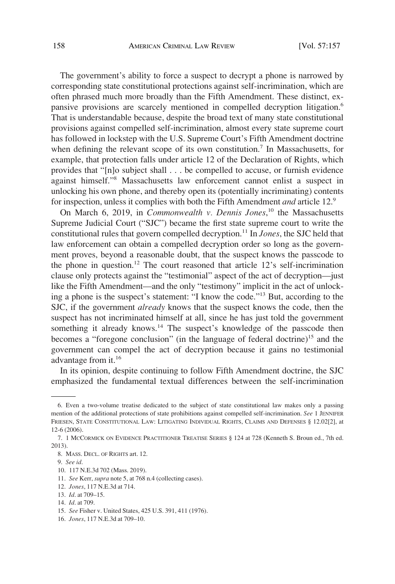The government's ability to force a suspect to decrypt a phone is narrowed by corresponding state constitutional protections against self-incrimination, which are often phrased much more broadly than the Fifth Amendment. These distinct, expansive provisions are scarcely mentioned in compelled decryption litigation.<sup>6</sup> That is understandable because, despite the broad text of many state constitutional provisions against compelled self-incrimination, almost every state supreme court has followed in lockstep with the U.S. Supreme Court's Fifth Amendment doctrine when defining the relevant scope of its own constitution.<sup>7</sup> In Massachusetts, for example, that protection falls under article 12 of the Declaration of Rights, which provides that "[n]o subject shall . . . be compelled to accuse, or furnish evidence against himself."8 Massachusetts law enforcement cannot enlist a suspect in unlocking his own phone, and thereby open its (potentially incriminating) contents for inspection, unless it complies with both the Fifth Amendment *and* article 12.9

On March 6, 2019, in *Commonwealth v. Dennis Jones*, 10 the Massachusetts Supreme Judicial Court ("SJC") became the first state supreme court to write the constitutional rules that govern compelled decryption.11 In *Jones*, the SJC held that law enforcement can obtain a compelled decryption order so long as the government proves, beyond a reasonable doubt, that the suspect knows the passcode to the phone in question.<sup>12</sup> The court reasoned that article  $12$ 's self-incrimination clause only protects against the "testimonial" aspect of the act of decryption—just like the Fifth Amendment—and the only "testimony" implicit in the act of unlocking a phone is the suspect's statement: "I know the code."13 But, according to the SJC, if the government *already* knows that the suspect knows the code, then the suspect has not incriminated himself at all, since he has just told the government something it already knows.<sup>14</sup> The suspect's knowledge of the passcode then becomes a "foregone conclusion" (in the language of federal doctrine)<sup>15</sup> and the government can compel the act of decryption because it gains no testimonial advantage from it.16

In its opinion, despite continuing to follow Fifth Amendment doctrine, the SJC emphasized the fundamental textual differences between the self-incrimination

- 11. *See* Kerr, *supra* note 5, at 768 n.4 (collecting cases).
- 12. *Jones*, 117 N.E.3d at 714.
- 13. *Id*. at 709–15.

<sup>6.</sup> Even a two-volume treatise dedicated to the subject of state constitutional law makes only a passing mention of the additional protections of state prohibitions against compelled self-incrimination. *See* 1 JENNIFER FRIESEN, STATE CONSTITUTIONAL LAW: LITIGATING INDIVIDUAL RIGHTS, CLAIMS AND DEFENSES § 12.02[2], at 12-6 (2006).

<sup>7. 1</sup> MCCORMICK ON EVIDENCE PRACTITIONER TREATISE SERIES § 124 at 728 (Kenneth S. Broun ed., 7th ed. 2013).

<sup>8.</sup> MASS. DECL. OF RIGHTS art. 12.

<sup>9.</sup> *See id*.

<sup>10. 117</sup> N.E.3d 702 (Mass. 2019).

<sup>14.</sup> *Id*. at 709.

<sup>15.</sup> *See* Fisher v. United States, 425 U.S. 391, 411 (1976).

<sup>16.</sup> *Jones*, 117 N.E.3d at 709–10.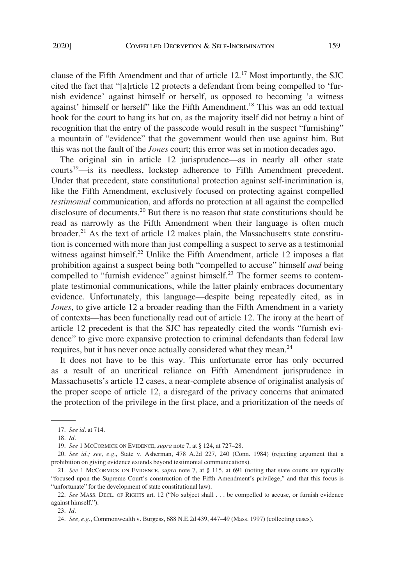clause of the Fifth Amendment and that of article 12.17 Most importantly, the SJC cited the fact that "[a]rticle 12 protects a defendant from being compelled to 'furnish evidence' against himself or herself, as opposed to becoming 'a witness against' himself or herself" like the Fifth Amendment.<sup>18</sup> This was an odd textual hook for the court to hang its hat on, as the majority itself did not betray a hint of recognition that the entry of the passcode would result in the suspect "furnishing" a mountain of "evidence" that the government would then use against him. But this was not the fault of the *Jones* court; this error was set in motion decades ago.

The original sin in article 12 jurisprudence—as in nearly all other state courts<sup>19</sup>—is its needless, lockstep adherence to Fifth Amendment precedent. Under that precedent, state constitutional protection against self-incrimination is, like the Fifth Amendment, exclusively focused on protecting against compelled *testimonial* communication, and affords no protection at all against the compelled disclosure of documents.<sup>20</sup> But there is no reason that state constitutions should be read as narrowly as the Fifth Amendment when their language is often much broader.21 As the text of article 12 makes plain, the Massachusetts state constitution is concerned with more than just compelling a suspect to serve as a testimonial witness against himself.<sup>22</sup> Unlike the Fifth Amendment, article 12 imposes a flat prohibition against a suspect being both "compelled to accuse" himself *and* being compelled to "furnish evidence" against himself.<sup>23</sup> The former seems to contemplate testimonial communications, while the latter plainly embraces documentary evidence. Unfortunately, this language—despite being repeatedly cited, as in *Jones*, to give article 12 a broader reading than the Fifth Amendment in a variety of contexts—has been functionally read out of article 12. The irony at the heart of article 12 precedent is that the SJC has repeatedly cited the words "furnish evidence" to give more expansive protection to criminal defendants than federal law requires, but it has never once actually considered what they mean.<sup>24</sup>

It does not have to be this way. This unfortunate error has only occurred as a result of an uncritical reliance on Fifth Amendment jurisprudence in Massachusetts's article 12 cases, a near-complete absence of originalist analysis of the proper scope of article 12, a disregard of the privacy concerns that animated the protection of the privilege in the first place, and a prioritization of the needs of

<sup>17.</sup> *See id*. at 714.

<sup>18.</sup> *Id*.

<sup>19.</sup> *See* 1 MCCORMICK ON EVIDENCE, *supra* note 7, at § 124, at 727–28.

<sup>20.</sup> *See id*.*; see, e.g*., State v. Asherman, 478 A.2d 227, 240 (Conn. 1984) (rejecting argument that a prohibition on giving evidence extends beyond testimonial communications).

<sup>21.</sup> *See* 1 MCCORMICK ON EVIDENCE, *supra* note 7, at § 115, at 691 (noting that state courts are typically "focused upon the Supreme Court's construction of the Fifth Amendment's privilege," and that this focus is "unfortunate" for the development of state constitutional law).

<sup>22.</sup> *See* MASS. DECL. OF RIGHTS art. 12 ("No subject shall . . . be compelled to accuse, or furnish evidence against himself.").

<sup>23.</sup> *Id*.

<sup>24.</sup> *See, e.g*., Commonwealth v. Burgess, 688 N.E.2d 439, 447–49 (Mass. 1997) (collecting cases).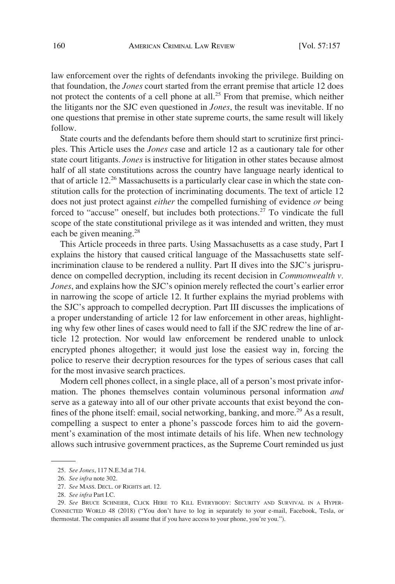law enforcement over the rights of defendants invoking the privilege. Building on that foundation, the *Jones* court started from the errant premise that article 12 does not protect the contents of a cell phone at all.<sup>25</sup> From that premise, which neither the litigants nor the SJC even questioned in *Jones*, the result was inevitable. If no one questions that premise in other state supreme courts, the same result will likely follow.

State courts and the defendants before them should start to scrutinize first principles. This Article uses the *Jones* case and article 12 as a cautionary tale for other state court litigants. *Jones* is instructive for litigation in other states because almost half of all state constitutions across the country have language nearly identical to that of article 12.<sup>26</sup> Massachusetts is a particularly clear case in which the state constitution calls for the protection of incriminating documents. The text of article 12 does not just protect against *either* the compelled furnishing of evidence *or* being forced to "accuse" oneself, but includes both protections.<sup>27</sup> To vindicate the full scope of the state constitutional privilege as it was intended and written, they must each be given meaning.<sup>28</sup>

This Article proceeds in three parts. Using Massachusetts as a case study, Part I explains the history that caused critical language of the Massachusetts state selfincrimination clause to be rendered a nullity. Part II dives into the SJC's jurisprudence on compelled decryption, including its recent decision in *Commonwealth v. Jones*, and explains how the SJC's opinion merely reflected the court's earlier error in narrowing the scope of article 12. It further explains the myriad problems with the SJC's approach to compelled decryption. Part III discusses the implications of a proper understanding of article 12 for law enforcement in other areas, highlighting why few other lines of cases would need to fall if the SJC redrew the line of article 12 protection. Nor would law enforcement be rendered unable to unlock encrypted phones altogether; it would just lose the easiest way in, forcing the police to reserve their decryption resources for the types of serious cases that call for the most invasive search practices.

Modern cell phones collect, in a single place, all of a person's most private information. The phones themselves contain voluminous personal information *and*  serve as a gateway into all of our other private accounts that exist beyond the confines of the phone itself: email, social networking, banking, and more.<sup>29</sup> As a result, compelling a suspect to enter a phone's passcode forces him to aid the government's examination of the most intimate details of his life. When new technology allows such intrusive government practices, as the Supreme Court reminded us just

<sup>25.</sup> *See Jones*, 117 N.E.3d at 714.

<sup>26.</sup> *See infra* note 302.

<sup>27.</sup> *See* MASS. DECL. OF RIGHTS art. 12.

<sup>28.</sup> *See infra* Part I.C.

<sup>29.</sup> *See* BRUCE SCHNEIER, CLICK HERE TO KILL EVERYBODY: SECURITY AND SURVIVAL IN A HYPER-CONNECTED WORLD 48 (2018) ("You don't have to log in separately to your e-mail, Facebook, Tesla, or thermostat. The companies all assume that if you have access to your phone, you're you.").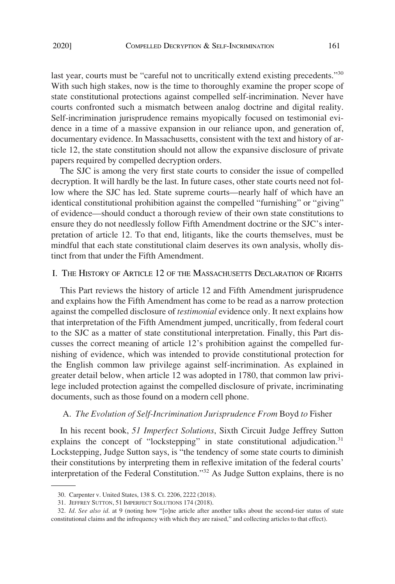last year, courts must be "careful not to uncritically extend existing precedents."<sup>30</sup> With such high stakes, now is the time to thoroughly examine the proper scope of state constitutional protections against compelled self-incrimination. Never have courts confronted such a mismatch between analog doctrine and digital reality. Self-incrimination jurisprudence remains myopically focused on testimonial evidence in a time of a massive expansion in our reliance upon, and generation of, documentary evidence. In Massachusetts, consistent with the text and history of article 12, the state constitution should not allow the expansive disclosure of private papers required by compelled decryption orders.

The SJC is among the very first state courts to consider the issue of compelled decryption. It will hardly be the last. In future cases, other state courts need not follow where the SJC has led. State supreme courts—nearly half of which have an identical constitutional prohibition against the compelled "furnishing" or "giving" of evidence—should conduct a thorough review of their own state constitutions to ensure they do not needlessly follow Fifth Amendment doctrine or the SJC's interpretation of article 12. To that end, litigants, like the courts themselves, must be mindful that each state constitutional claim deserves its own analysis, wholly distinct from that under the Fifth Amendment.

### I. THE HISTORY OF ARTICLE 12 OF THE MASSACHUSETTS DECLARATION OF RIGHTS

This Part reviews the history of article 12 and Fifth Amendment jurisprudence and explains how the Fifth Amendment has come to be read as a narrow protection against the compelled disclosure of *testimonial* evidence only. It next explains how that interpretation of the Fifth Amendment jumped, uncritically, from federal court to the SJC as a matter of state constitutional interpretation. Finally, this Part discusses the correct meaning of article 12's prohibition against the compelled furnishing of evidence, which was intended to provide constitutional protection for the English common law privilege against self-incrimination. As explained in greater detail below, when article 12 was adopted in 1780, that common law privilege included protection against the compelled disclosure of private, incriminating documents, such as those found on a modern cell phone.

#### A. *The Evolution of Self-Incrimination Jurisprudence From* Boyd *to* Fisher

In his recent book, *51 Imperfect Solutions*, Sixth Circuit Judge Jeffrey Sutton explains the concept of "lockstepping" in state constitutional adjudication.<sup>31</sup> Lockstepping, Judge Sutton says, is "the tendency of some state courts to diminish their constitutions by interpreting them in reflexive imitation of the federal courts' interpretation of the Federal Constitution."32 As Judge Sutton explains, there is no

<sup>30.</sup> Carpenter v. United States, 138 S. Ct. 2206, 2222 (2018).

<sup>31.</sup> JEFFREY SUTTON, 51 IMPERFECT SOLUTIONS 174 (2018).

<sup>32.</sup> *Id*. *See also id*. at 9 (noting how "[o]ne article after another talks about the second-tier status of state constitutional claims and the infrequency with which they are raised," and collecting articles to that effect).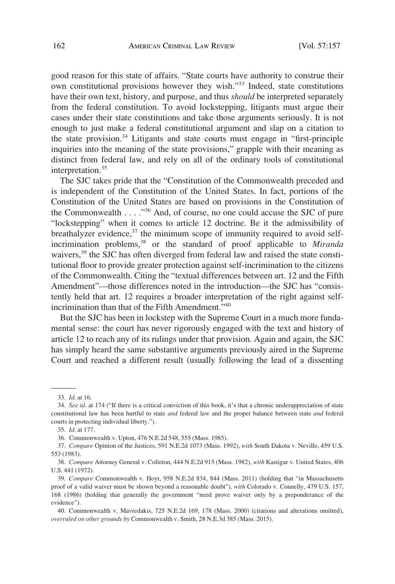good reason for this state of affairs. "State courts have authority to construe their own constitutional provisions however they wish."33 Indeed, state constitutions have their own text, history, and purpose, and thus *should* be interpreted separately from the federal constitution. To avoid lockstepping, litigants must argue their cases under their state constitutions and take those arguments seriously. It is not enough to just make a federal constitutional argument and slap on a citation to the state provision.34 Litigants and state courts must engage in "first-principle inquiries into the meaning of the state provisions," grapple with their meaning as distinct from federal law, and rely on all of the ordinary tools of constitutional interpretation.<sup>35</sup>

The SJC takes pride that the "Constitution of the Commonwealth preceded and is independent of the Constitution of the United States. In fact, portions of the Constitution of the United States are based on provisions in the Constitution of the Commonwealth . . . ."36 And, of course, no one could accuse the SJC of pure "lockstepping" when it comes to article 12 doctrine. Be it the admissibility of breathalyzer evidence,<sup>37</sup> the minimum scope of immunity required to avoid selfincrimination problems,38 or the standard of proof applicable to *Miranda*  waivers,<sup>39</sup> the SJC has often diverged from federal law and raised the state constitutional floor to provide greater protection against self-incrimination to the citizens of the Commonwealth. Citing the "textual differences between art. 12 and the Fifth Amendment"—those differences noted in the introduction—the SJC has "consistently held that art. 12 requires a broader interpretation of the right against selfincrimination than that of the Fifth Amendment."40

But the SJC has been in lockstep with the Supreme Court in a much more fundamental sense: the court has never rigorously engaged with the text and history of article 12 to reach any of its rulings under that provision. Again and again, the SJC has simply heard the same substantive arguments previously aired in the Supreme Court and reached a different result (usually following the lead of a dissenting

<sup>33.</sup> *Id*. at 16.

<sup>34.</sup> *See id*. at 174 ("If there is a critical conviction of this book, it's that a chronic underappreciation of state constitutional law has been hurtful to state *and* federal law and the proper balance between state *and* federal courts in protecting individual liberty.").

<sup>35.</sup> *Id*. at 177.

<sup>36.</sup> Commonwealth v. Upton, 476 N.E.2d 548, 555 (Mass. 1985).

<sup>37.</sup> *Compare* Opinion of the Justices, 591 N.E.2d 1073 (Mass. 1992), *with* South Dakota v. Neville, 459 U.S. 553 (1983).

<sup>38.</sup> *Compare* Attorney General v. Colleton, 444 N.E.2d 915 (Mass. 1982), *with* Kastigar v. United States, 406 U.S. 441 (1972).

<sup>39.</sup> *Compare* Commonwealth v. Hoyt, 958 N.E.2d 834, 844 (Mass. 2011) (holding that "in Massachusetts proof of a valid waiver must be shown beyond a reasonable doubt")*, with* Colorado v. Connelly, 479 U.S. 157, 168 (1986) (holding that generally the government "need prove waiver only by a preponderance of the evidence").

<sup>40.</sup> Commonwealth v. Mavredakis, 725 N.E.2d 169, 178 (Mass. 2000) (citations and alterations omitted), *overruled on other grounds by* Commonwealth v. Smith, 28 N.E.3d 385 (Mass. 2015).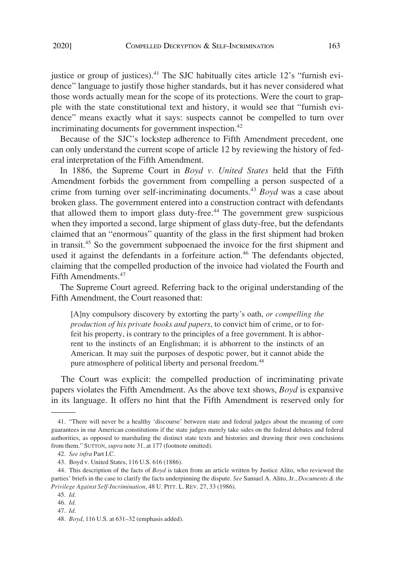justice or group of justices).<sup>41</sup> The SJC habitually cites article 12's "furnish evidence" language to justify those higher standards, but it has never considered what those words actually mean for the scope of its protections. Were the court to grapple with the state constitutional text and history, it would see that "furnish evidence" means exactly what it says: suspects cannot be compelled to turn over incriminating documents for government inspection.<sup>42</sup>

Because of the SJC's lockstep adherence to Fifth Amendment precedent, one can only understand the current scope of article 12 by reviewing the history of federal interpretation of the Fifth Amendment.

In 1886, the Supreme Court in *Boyd v. United States* held that the Fifth Amendment forbids the government from compelling a person suspected of a crime from turning over self-incriminating documents.43 *Boyd* was a case about broken glass. The government entered into a construction contract with defendants that allowed them to import glass duty-free.<sup> $44$ </sup> The government grew suspicious when they imported a second, large shipment of glass duty-free, but the defendants claimed that an "enormous" quantity of the glass in the first shipment had broken in transit.45 So the government subpoenaed the invoice for the first shipment and used it against the defendants in a forfeiture action.<sup>46</sup> The defendants objected, claiming that the compelled production of the invoice had violated the Fourth and Fifth Amendments.<sup>47</sup>

The Supreme Court agreed. Referring back to the original understanding of the Fifth Amendment, the Court reasoned that:

[A]ny compulsory discovery by extorting the party's oath, *or compelling the production of his private books and papers*, to convict him of crime, or to forfeit his property, is contrary to the principles of a free government. It is abhorrent to the instincts of an Englishman; it is abhorrent to the instincts of an American. It may suit the purposes of despotic power, but it cannot abide the pure atmosphere of political liberty and personal freedom.<sup>48</sup>

The Court was explicit: the compelled production of incriminating private papers violates the Fifth Amendment. As the above text shows, *Boyd* is expansive in its language. It offers no hint that the Fifth Amendment is reserved only for

<sup>41. &</sup>quot;There will never be a healthy 'discourse' between state and federal judges about the meaning of core guarantees in our American constitutions if the state judges merely take sides on the federal debates and federal authorities, as opposed to marshaling the distinct state texts and histories and drawing their own conclusions from them." SUTTON, *supra* note 31, at 177 (footnote omitted).

<sup>42.</sup> *See infra* Part I.C.

<sup>43.</sup> Boyd v. United States, 116 U.S. 616 (1886).

<sup>44.</sup> This description of the facts of *Boyd* is taken from an article written by Justice Alito, who reviewed the parties' briefs in the case to clarify the facts underpinning the dispute. *See* Samuel A. Alito, Jr., *Documents & the Privilege Against Self-Incrimination*, 48 U. PITT. L. REV. 27, 33 (1986).

<sup>45.</sup> *Id*.

<sup>46.</sup> *Id*.

<sup>47.</sup> *Id*.

<sup>48.</sup> *Boyd*, 116 U.S. at 631–32 (emphasis added).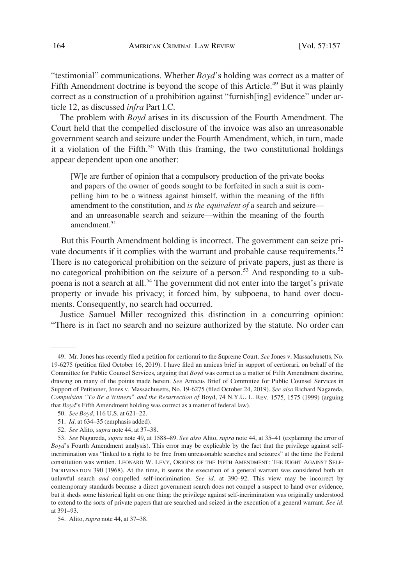"testimonial" communications. Whether *Boyd*'s holding was correct as a matter of Fifth Amendment doctrine is beyond the scope of this Article.<sup>49</sup> But it was plainly correct as a construction of a prohibition against "furnish[ing] evidence" under article 12, as discussed *infra* Part I.C.

The problem with *Boyd* arises in its discussion of the Fourth Amendment. The Court held that the compelled disclosure of the invoice was also an unreasonable government search and seizure under the Fourth Amendment, which, in turn, made it a violation of the Fifth.<sup>50</sup> With this framing, the two constitutional holdings appear dependent upon one another:

[W]e are further of opinion that a compulsory production of the private books and papers of the owner of goods sought to be forfeited in such a suit is compelling him to be a witness against himself, within the meaning of the fifth amendment to the constitution, and *is the equivalent of* a search and seizure and an unreasonable search and seizure—within the meaning of the fourth amendment.<sup>51</sup>

But this Fourth Amendment holding is incorrect. The government can seize private documents if it complies with the warrant and probable cause requirements.<sup>52</sup> There is no categorical prohibition on the seizure of private papers, just as there is no categorical prohibition on the seizure of a person.<sup>53</sup> And responding to a subpoena is not a search at all.54 The government did not enter into the target's private property or invade his privacy; it forced him, by subpoena, to hand over documents. Consequently, no search had occurred.

Justice Samuel Miller recognized this distinction in a concurring opinion: "There is in fact no search and no seizure authorized by the statute. No order can

<sup>49.</sup> Mr. Jones has recently filed a petition for certiorari to the Supreme Court. *See* Jones v. Massachusetts, No. 19-6275 (petition filed October 16, 2019). I have filed an amicus brief in support of certiorari, on behalf of the Committee for Public Counsel Services, arguing that *Boyd* was correct as a matter of Fifth Amendment doctrine, drawing on many of the points made herein. *See* Amicus Brief of Committee for Public Counsel Services in Support of Petitioner, Jones v. Massachusetts, No. 19-6275 (filed October 24, 2019). *See also* Richard Nagareda, *Compulsion "To Be a Witness" and the Resurrection of* Boyd, 74 N.Y.U. L. REV. 1575, 1575 (1999) (arguing that *Boyd*'s Fifth Amendment holding was correct as a matter of federal law).

<sup>50.</sup> *See Boyd*, 116 U.S. at 621–22.

<sup>51.</sup> *Id*. at 634–35 (emphasis added).

<sup>52.</sup> *See* Alito, *supra* note 44, at 37–38.

<sup>53.</sup> *See* Nagareda, *supra* note 49, at 1588–89. *See also* Alito, *supra* note 44, at 35–41 (explaining the error of *Boyd*'s Fourth Amendment analysis). This error may be explicable by the fact that the privilege against selfincrimination was "linked to a right to be free from unreasonable searches and seizures" at the time the Federal constitution was written. LEONARD W. LEVY, ORIGINS OF THE FIFTH AMENDMENT: THE RIGHT AGAINST SELF-INCRIMINATION 390 (1968). At the time, it seems the execution of a general warrant was considered both an unlawful search *and* compelled self-incrimination. *See id*. at 390–92. This view may be incorrect by contemporary standards because a direct government search does not compel a suspect to hand over evidence, but it sheds some historical light on one thing: the privilege against self-incrimination was originally understood to extend to the sorts of private papers that are searched and seized in the execution of a general warrant. *See id*. at 391–93.

<sup>54.</sup> Alito, *supra* note 44, at 37–38.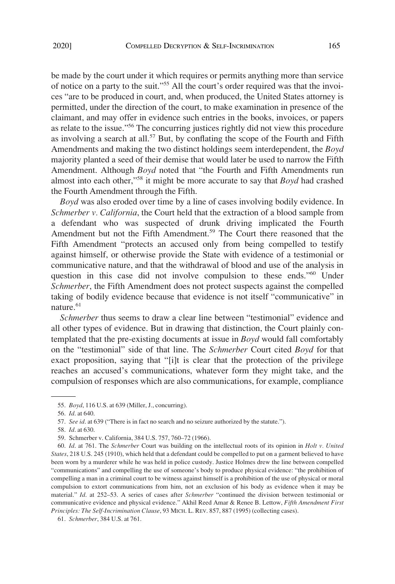be made by the court under it which requires or permits anything more than service of notice on a party to the suit."55 All the court's order required was that the invoices "are to be produced in court, and, when produced, the United States attorney is permitted, under the direction of the court, to make examination in presence of the claimant, and may offer in evidence such entries in the books, invoices, or papers as relate to the issue."56 The concurring justices rightly did not view this procedure as involving a search at all.<sup>57</sup> But, by conflating the scope of the Fourth and Fifth Amendments and making the two distinct holdings seem interdependent, the *Boyd*  majority planted a seed of their demise that would later be used to narrow the Fifth Amendment. Although *Boyd* noted that "the Fourth and Fifth Amendments run almost into each other,"58 it might be more accurate to say that *Boyd* had crashed the Fourth Amendment through the Fifth.

*Boyd* was also eroded over time by a line of cases involving bodily evidence. In *Schmerber v. California*, the Court held that the extraction of a blood sample from a defendant who was suspected of drunk driving implicated the Fourth Amendment but not the Fifth Amendment.<sup>59</sup> The Court there reasoned that the Fifth Amendment "protects an accused only from being compelled to testify against himself, or otherwise provide the State with evidence of a testimonial or communicative nature, and that the withdrawal of blood and use of the analysis in question in this case did not involve compulsion to these ends."60 Under *Schmerber*, the Fifth Amendment does not protect suspects against the compelled taking of bodily evidence because that evidence is not itself "communicative" in nature.<sup>61</sup>

*Schmerber* thus seems to draw a clear line between "testimonial" evidence and all other types of evidence. But in drawing that distinction, the Court plainly contemplated that the pre-existing documents at issue in *Boyd* would fall comfortably on the "testimonial" side of that line. The *Schmerber* Court cited *Boyd* for that exact proposition, saying that "[i]t is clear that the protection of the privilege reaches an accused's communications, whatever form they might take, and the compulsion of responses which are also communications, for example, compliance

<sup>55.</sup> *Boyd*, 116 U.S. at 639 (Miller, J., concurring).

<sup>56.</sup> *Id*. at 640.

<sup>57.</sup> *See id*. at 639 ("There is in fact no search and no seizure authorized by the statute.").

<sup>58.</sup> *Id*. at 630.

<sup>59.</sup> Schmerber v. California, 384 U.S. 757, 760–72 (1966).

<sup>60.</sup> *Id*. at 761. The *Schmerber* Court was building on the intellectual roots of its opinion in *Holt v. United States*, 218 U.S. 245 (1910), which held that a defendant could be compelled to put on a garment believed to have been worn by a murderer while he was held in police custody. Justice Holmes drew the line between compelled "communications" and compelling the use of someone's body to produce physical evidence: "the prohibition of compelling a man in a criminal court to be witness against himself is a prohibition of the use of physical or moral compulsion to extort communications from him, not an exclusion of his body as evidence when it may be material." *Id*. at 252–53. A series of cases after *Schmerber* "continued the division between testimonial or communicative evidence and physical evidence." Akhil Reed Amar & Renee B. Lettow, *Fifth Amendment First Principles: The Self-Incrimination Clause*, 93 MICH. L. REV. 857, 887 (1995) (collecting cases).

<sup>61.</sup> *Schmerber*, 384 U.S. at 761.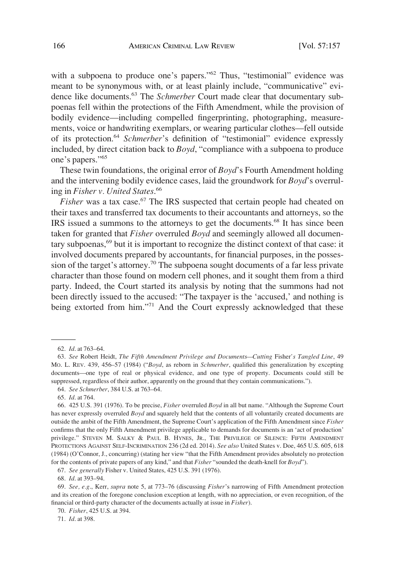with a subpoena to produce one's papers."<sup>62</sup> Thus, "testimonial" evidence was meant to be synonymous with, or at least plainly include, "communicative" evidence like documents.63 The *Schmerber* Court made clear that documentary subpoenas fell within the protections of the Fifth Amendment, while the provision of bodily evidence—including compelled fingerprinting, photographing, measurements, voice or handwriting exemplars, or wearing particular clothes—fell outside of its protection.64 *Schmerber*'s definition of "testimonial" evidence expressly included, by direct citation back to *Boyd*, "compliance with a subpoena to produce one's papers."65

These twin foundations, the original error of *Boyd*'s Fourth Amendment holding and the intervening bodily evidence cases, laid the groundwork for *Boyd*'s overruling in *Fisher v. United States*. 66

*Fisher* was a tax case.<sup>67</sup> The IRS suspected that certain people had cheated on their taxes and transferred tax documents to their accountants and attorneys, so the IRS issued a summons to the attorneys to get the documents.68 It has since been taken for granted that *Fisher* overruled *Boyd* and seemingly allowed all documentary subpoenas,<sup>69</sup> but it is important to recognize the distinct context of that case: it involved documents prepared by accountants, for financial purposes, in the possession of the target's attorney.<sup>70</sup> The subpoena sought documents of a far less private character than those found on modern cell phones, and it sought them from a third party. Indeed, the Court started its analysis by noting that the summons had not been directly issued to the accused: "The taxpayer is the 'accused,' and nothing is being extorted from him."<sup>71</sup> And the Court expressly acknowledged that these

65. *Id*. at 764.

67. *See generally* Fisher v. United States, 425 U.S. 391 (1976).

68. *Id*. at 393–94.

69. *See, e.g*., Kerr, *supra* note 5, at 773–76 (discussing *Fisher*'s narrowing of Fifth Amendment protection and its creation of the foregone conclusion exception at length, with no appreciation, or even recognition, of the financial or third-party character of the documents actually at issue in *Fisher*).

71. *Id*. at 398.

<sup>62.</sup> *Id*. at 763–64.

<sup>63.</sup> *See* Robert Heidt, *The Fifth Amendment Privilege and Documents—Cutting* Fisher*'s Tangled Line*, 49 MO. L. REV. 439, 456–57 (1984) ("*Boyd*, as reborn in *Schmerber*, qualified this generalization by excepting documents—one type of real or physical evidence, and one type of property. Documents could still be suppressed, regardless of their author, apparently on the ground that they contain communications.").

<sup>64.</sup> *See Schmerber*, 384 U.S. at 763–64.

<sup>66. 425</sup> U.S. 391 (1976). To be precise, *Fisher* overruled *Boyd* in all but name. "Although the Supreme Court has never expressly overruled *Boyd* and squarely held that the contents of all voluntarily created documents are outside the ambit of the Fifth Amendment, the Supreme Court's application of the Fifth Amendment since *Fisher*  confirms that the only Fifth Amendment privilege applicable to demands for documents is an 'act of production' privilege." STEVEN M. SALKY & PAUL B. HYNES, JR., THE PRIVILEGE OF SILENCE: FIFTH AMENDMENT PROTECTIONS AGAINST SELF-INCRIMINATION 236 (2d ed. 2014). *See also* United States v. Doe, 465 U.S. 605, 618 (1984) (O'Connor, J., concurring) (stating her view "that the Fifth Amendment provides absolutely no protection for the contents of private papers of any kind," and that *Fisher* "sounded the death-knell for *Boyd*").

<sup>70.</sup> *Fisher*, 425 U.S. at 394.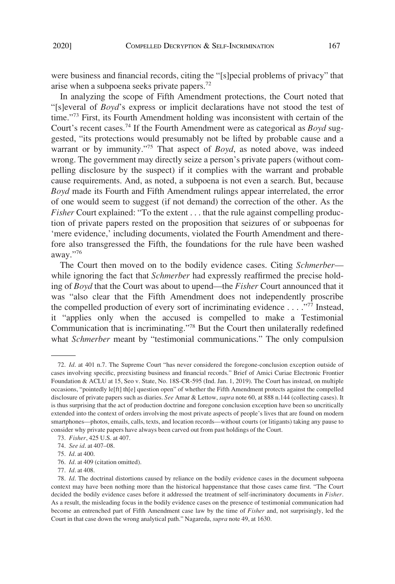were business and financial records, citing the "[s]pecial problems of privacy" that arise when a subpoena seeks private papers.72

In analyzing the scope of Fifth Amendment protections, the Court noted that "[s]everal of *Boyd*'s express or implicit declarations have not stood the test of time."73 First, its Fourth Amendment holding was inconsistent with certain of the Court's recent cases.74 If the Fourth Amendment were as categorical as *Boyd* suggested, "its protections would presumably not be lifted by probable cause and a warrant or by immunity."75 That aspect of *Boyd*, as noted above, was indeed wrong. The government may directly seize a person's private papers (without compelling disclosure by the suspect) if it complies with the warrant and probable cause requirements. And, as noted, a subpoena is not even a search. But, because *Boyd* made its Fourth and Fifth Amendment rulings appear interrelated, the error of one would seem to suggest (if not demand) the correction of the other. As the *Fisher* Court explained: "To the extent . . . that the rule against compelling production of private papers rested on the proposition that seizures of or subpoenas for 'mere evidence,' including documents, violated the Fourth Amendment and therefore also transgressed the Fifth, the foundations for the rule have been washed away."<sup>76</sup>

The Court then moved on to the bodily evidence cases. Citing *Schmerber* while ignoring the fact that *Schmerber* had expressly reaffirmed the precise holding of *Boyd* that the Court was about to upend—the *Fisher* Court announced that it was "also clear that the Fifth Amendment does not independently proscribe the compelled production of every sort of incriminating evidence . . . ."77 Instead, it "applies only when the accused is compelled to make a Testimonial Communication that is incriminating."78 But the Court then unilaterally redefined what *Schmerber* meant by "testimonial communications." The only compulsion

<sup>72.</sup> *Id*. at 401 n.7. The Supreme Court "has never considered the foregone-conclusion exception outside of cases involving specific, preexisting business and financial records." Brief of Amici Curiae Electronic Frontier Foundation & ACLU at 15, Seo v. State, No. 18S-CR-595 (Ind. Jan. 1, 2019). The Court has instead, on multiple occasions, "pointedly le[ft] th[e] question open" of whether the Fifth Amendment protects against the compelled disclosure of private papers such as diaries. *See* Amar & Lettow, *supra* note 60, at 888 n.144 (collecting cases). It is thus surprising that the act of production doctrine and foregone conclusion exception have been so uncritically extended into the context of orders involving the most private aspects of people's lives that are found on modern smartphones—photos, emails, calls, texts, and location records—without courts (or litigants) taking any pause to consider why private papers have always been carved out from past holdings of the Court.

<sup>73.</sup> *Fisher*, 425 U.S. at 407.

<sup>74.</sup> *See id*. at 407–08.

<sup>75.</sup> *Id*. at 400.

<sup>76.</sup> *Id*. at 409 (citation omitted).

<sup>77.</sup> *Id*. at 408.

<sup>78.</sup> *Id*. The doctrinal distortions caused by reliance on the bodily evidence cases in the document subpoena context may have been nothing more than the historical happenstance that those cases came first. "The Court decided the bodily evidence cases before it addressed the treatment of self-incriminatory documents in *Fisher*. As a result, the misleading focus in the bodily evidence cases on the presence of testimonial communication had become an entrenched part of Fifth Amendment case law by the time of *Fisher* and, not surprisingly, led the Court in that case down the wrong analytical path." Nagareda, *supra* note 49, at 1630.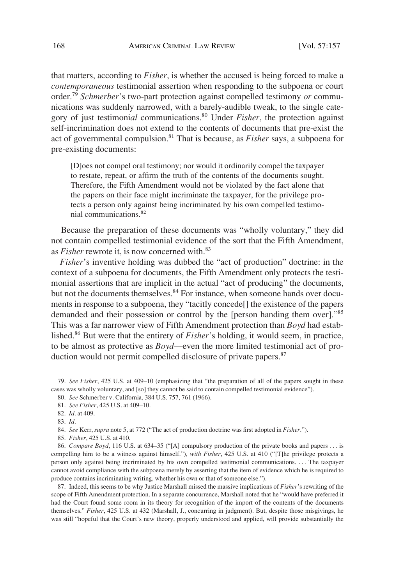that matters, according to *Fisher*, is whether the accused is being forced to make a *contemporaneous* testimonial assertion when responding to the subpoena or court order.79 *Schmerber*'s two-part protection against compelled testimony *or* communications was suddenly narrowed, with a barely-audible tweak, to the single category of just testimoni*al* communications.80 Under *Fisher*, the protection against self-incrimination does not extend to the contents of documents that pre-exist the act of governmental compulsion.81 That is because, as *Fisher* says, a subpoena for pre-existing documents:

[D]oes not compel oral testimony; nor would it ordinarily compel the taxpayer to restate, repeat, or affirm the truth of the contents of the documents sought. Therefore, the Fifth Amendment would not be violated by the fact alone that the papers on their face might incriminate the taxpayer, for the privilege protects a person only against being incriminated by his own compelled testimonial communications.<sup>82</sup>

Because the preparation of these documents was "wholly voluntary," they did not contain compelled testimonial evidence of the sort that the Fifth Amendment, as *Fisher* rewrote it, is now concerned with.<sup>83</sup>

*Fisher*'s inventive holding was dubbed the "act of production" doctrine: in the context of a subpoena for documents, the Fifth Amendment only protects the testimonial assertions that are implicit in the actual "act of producing" the documents, but not the documents themselves.<sup>84</sup> For instance, when someone hands over documents in response to a subpoena, they "tacitly concede[] the existence of the papers demanded and their possession or control by the [person handing them over]."<sup>85</sup> This was a far narrower view of Fifth Amendment protection than *Boyd* had established.86 But were that the entirety of *Fisher*'s holding, it would seem, in practice, to be almost as protective as *Boyd*—even the more limited testimonial act of production would not permit compelled disclosure of private papers.<sup>87</sup>

87. Indeed, this seems to be why Justice Marshall missed the massive implications of *Fisher*'s rewriting of the scope of Fifth Amendment protection. In a separate concurrence, Marshall noted that he "would have preferred it had the Court found some room in its theory for recognition of the import of the contents of the documents themselves." *Fisher*, 425 U.S. at 432 (Marshall, J., concurring in judgment). But, despite those misgivings, he was still "hopeful that the Court's new theory, properly understood and applied, will provide substantially the

<sup>79.</sup> *See Fisher*, 425 U.S. at 409–10 (emphasizing that "the preparation of all of the papers sought in these cases was wholly voluntary, and [so] they cannot be said to contain compelled testimonial evidence").

<sup>80.</sup> *See* Schmerber v. California, 384 U.S. 757, 761 (1966).

<sup>81.</sup> *See Fisher*, 425 U.S. at 409–10.

<sup>82.</sup> *Id*. at 409.

<sup>83.</sup> *Id*.

<sup>84.</sup> *See* Kerr, *supra* note 5, at 772 ("The act of production doctrine was first adopted in *Fisher*.").

<sup>85.</sup> *Fisher*, 425 U.S. at 410.

<sup>86.</sup> *Compare Boyd*, 116 U.S. at 634–35 ("[A] compulsory production of the private books and papers . . . is compelling him to be a witness against himself."), *with Fisher*, 425 U.S. at 410 ("[T]he privilege protects a person only against being incriminated by his own compelled testimonial communications. . . . The taxpayer cannot avoid compliance with the subpoena merely by asserting that the item of evidence which he is required to produce contains incriminating writing, whether his own or that of someone else.").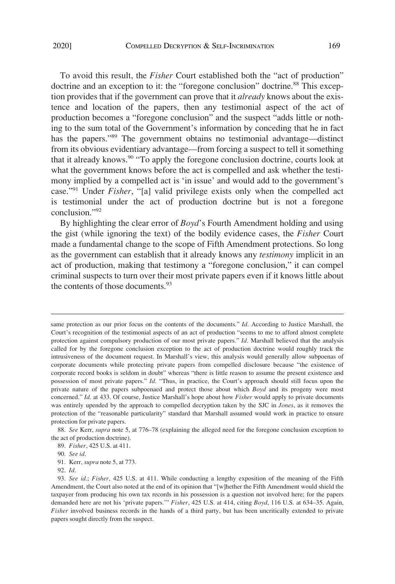To avoid this result, the *Fisher* Court established both the "act of production" doctrine and an exception to it: the "foregone conclusion" doctrine.<sup>88</sup> This exception provides that if the government can prove that it *already* knows about the existence and location of the papers, then any testimonial aspect of the act of production becomes a "foregone conclusion" and the suspect "adds little or nothing to the sum total of the Government's information by conceding that he in fact has the papers."<sup>89</sup> The government obtains no testimonial advantage—distinct from its obvious evidentiary advantage—from forcing a suspect to tell it something that it already knows.90 "To apply the foregone conclusion doctrine, courts look at what the government knows before the act is compelled and ask whether the testimony implied by a compelled act is 'in issue' and would add to the government's case."91 Under *Fisher*, "[a] valid privilege exists only when the compelled act is testimonial under the act of production doctrine but is not a foregone conclusion."<sup>92</sup>

By highlighting the clear error of *Boyd*'s Fourth Amendment holding and using the gist (while ignoring the text) of the bodily evidence cases, the *Fisher* Court made a fundamental change to the scope of Fifth Amendment protections. So long as the government can establish that it already knows any *testimony* implicit in an act of production, making that testimony a "foregone conclusion," it can compel criminal suspects to turn over their most private papers even if it knows little about the contents of those documents.  $93$ 

same protection as our prior focus on the contents of the documents." *Id*. According to Justice Marshall, the Court's recognition of the testimonial aspects of an act of production "seems to me to afford almost complete protection against compulsory production of our most private papers." *Id*. Marshall believed that the analysis called for by the foregone conclusion exception to the act of production doctrine would roughly track the intrusiveness of the document request. In Marshall's view, this analysis would generally allow subpoenas of corporate documents while protecting private papers from compelled disclosure because "the existence of corporate record books is seldom in doubt" whereas "there is little reason to assume the present existence and possession of most private papers." *Id*. "Thus, in practice, the Court's approach should still focus upon the private nature of the papers subpoenaed and protect those about which *Boyd* and its progeny were most concerned." *Id*. at 433. Of course, Justice Marshall's hope about how *Fisher* would apply to private documents was entirely upended by the approach to compelled decryption taken by the SJC in *Jones*, as it removes the protection of the "reasonable particularity" standard that Marshall assumed would work in practice to ensure protection for private papers.

<sup>88.</sup> *See* Kerr, *supra* note 5, at 776–78 (explaining the alleged need for the foregone conclusion exception to the act of production doctrine).

<sup>89.</sup> *Fisher*, 425 U.S. at 411.

<sup>90.</sup> *See id*.

<sup>91.</sup> Kerr, *supra* note 5, at 773.

<sup>92.</sup> *Id*.

<sup>93.</sup> *See id*.; *Fisher*, 425 U.S. at 411. While conducting a lengthy exposition of the meaning of the Fifth Amendment, the Court also noted at the end of its opinion that "[w]hether the Fifth Amendment would shield the taxpayer from producing his own tax records in his possession is a question not involved here; for the papers demanded here are not his 'private papers.'" *Fisher*, 425 U.S. at 414, citing *Boyd*, 116 U.S. at 634–35. Again, *Fisher* involved business records in the hands of a third party, but has been uncritically extended to private papers sought directly from the suspect.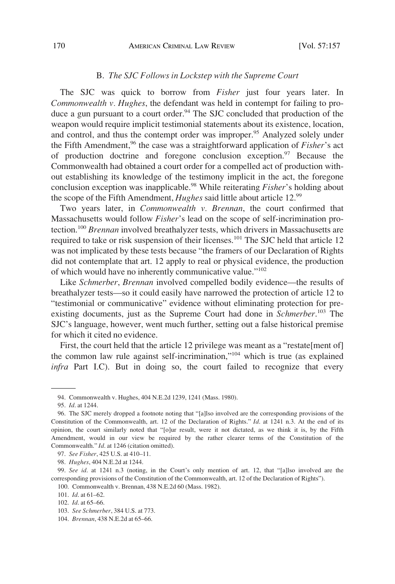## B. *The SJC Follows in Lockstep with the Supreme Court*

The SJC was quick to borrow from *Fisher* just four years later. In *Commonwealth v. Hughes*, the defendant was held in contempt for failing to produce a gun pursuant to a court order.<sup>94</sup> The SJC concluded that production of the weapon would require implicit testimonial statements about its existence, location, and control, and thus the contempt order was improper.<sup>95</sup> Analyzed solely under the Fifth Amendment,<sup>96</sup> the case was a straightforward application of *Fisher*'s act of production doctrine and foregone conclusion exception.<sup>97</sup> Because the Commonwealth had obtained a court order for a compelled act of production without establishing its knowledge of the testimony implicit in the act, the foregone conclusion exception was inapplicable.<sup>98</sup> While reiterating *Fisher*'s holding about the scope of the Fifth Amendment, *Hughes* said little about article 12.99

Two years later, in *Commonwealth v. Brennan*, the court confirmed that Massachusetts would follow *Fisher*'s lead on the scope of self-incrimination protection.100 *Brennan* involved breathalyzer tests, which drivers in Massachusetts are required to take or risk suspension of their licenses.<sup>101</sup> The SJC held that article 12 was not implicated by these tests because "the framers of our Declaration of Rights did not contemplate that art. 12 apply to real or physical evidence, the production of which would have no inherently communicative value."102

Like *Schmerber*, *Brennan* involved compelled bodily evidence—the results of breathalyzer tests—so it could easily have narrowed the protection of article 12 to "testimonial or communicative" evidence without eliminating protection for preexisting documents, just as the Supreme Court had done in *Schmerber*. 103 The SJC's language, however, went much further, setting out a false historical premise for which it cited no evidence.

First, the court held that the article 12 privilege was meant as a "restate[ment of] the common law rule against self-incrimination,"104 which is true (as explained *infra* Part I.C). But in doing so, the court failed to recognize that every

<sup>94.</sup> Commonwealth v. Hughes, 404 N.E.2d 1239, 1241 (Mass. 1980).

<sup>95.</sup> *Id*. at 1244.

<sup>96.</sup> The SJC merely dropped a footnote noting that "[a]lso involved are the corresponding provisions of the Constitution of the Commonwealth, art. 12 of the Declaration of Rights." *Id*. at 1241 n.3. At the end of its opinion, the court similarly noted that "[o]ur result, were it not dictated, as we think it is, by the Fifth Amendment, would in our view be required by the rather clearer terms of the Constitution of the Commonwealth." *Id*. at 1246 (citation omitted).

<sup>97.</sup> *See Fisher*, 425 U.S. at 410–11.

<sup>98.</sup> *Hughes*, 404 N.E.2d at 1244.

<sup>99.</sup> *See id*. at 1241 n.3 (noting, in the Court's only mention of art. 12, that "[a]lso involved are the corresponding provisions of the Constitution of the Commonwealth, art. 12 of the Declaration of Rights").

<sup>100.</sup> Commonwealth v. Brennan, 438 N.E.2d 60 (Mass. 1982).

<sup>101.</sup> *Id*. at 61–62.

<sup>102.</sup> *Id*. at 65–66.

<sup>103.</sup> *See Schmerber*, 384 U.S. at 773.

<sup>104.</sup> *Brennan*, 438 N.E.2d at 65–66.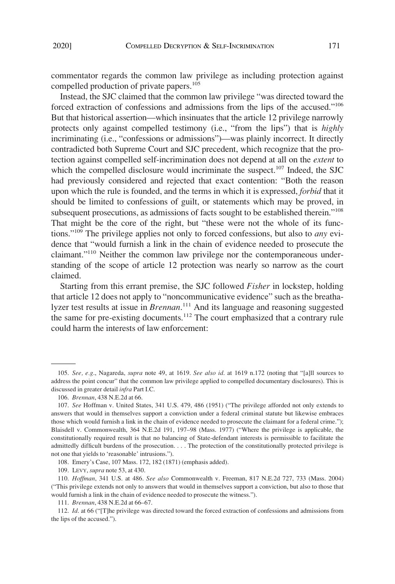commentator regards the common law privilege as including protection against compelled production of private papers.<sup>105</sup>

Instead, the SJC claimed that the common law privilege "was directed toward the forced extraction of confessions and admissions from the lips of the accused."106 But that historical assertion—which insinuates that the article 12 privilege narrowly protects only against compelled testimony (i.e., "from the lips") that is *highly*  incriminating (i.e., "confessions or admissions")—was plainly incorrect. It directly contradicted both Supreme Court and SJC precedent, which recognize that the protection against compelled self-incrimination does not depend at all on the *extent* to which the compelled disclosure would incriminate the suspect.<sup>107</sup> Indeed, the SJC had previously considered and rejected that exact contention: "Both the reason upon which the rule is founded, and the terms in which it is expressed, *forbid* that it should be limited to confessions of guilt, or statements which may be proved, in subsequent prosecutions, as admissions of facts sought to be established therein."<sup>108</sup> That might be the core of the right, but "these were not the whole of its functions."109 The privilege applies not only to forced confessions, but also to *any* evidence that "would furnish a link in the chain of evidence needed to prosecute the claimant."<sup>110</sup> Neither the common law privilege nor the contemporaneous understanding of the scope of article 12 protection was nearly so narrow as the court claimed.

Starting from this errant premise, the SJC followed *Fisher* in lockstep, holding that article 12 does not apply to "noncommunicative evidence" such as the breathalyzer test results at issue in *Brennan*. 111 And its language and reasoning suggested the same for pre-existing documents.<sup>112</sup> The court emphasized that a contrary rule could harm the interests of law enforcement:

108. Emery's Case, 107 Mass. 172, 182 (1871) (emphasis added).

109. LEVY, *supra* note 53, at 430.

110. *Hoffman*, 341 U.S. at 486. *See also* Commonwealth v. Freeman, 817 N.E.2d 727, 733 (Mass. 2004) ("This privilege extends not only to answers that would in themselves support a conviction, but also to those that would furnish a link in the chain of evidence needed to prosecute the witness.").

111. *Brennan*, 438 N.E.2d at 66–67.

112. *Id*. at 66 ("[T]he privilege was directed toward the forced extraction of confessions and admissions from the lips of the accused.").

<sup>105.</sup> *See, e.g*., Nagareda, *supra* note 49, at 1619. *See also id*. at 1619 n.172 (noting that "[a]ll sources to address the point concur" that the common law privilege applied to compelled documentary disclosures). This is discussed in greater detail *infra* Part I.C.

<sup>106.</sup> *Brennan*, 438 N.E.2d at 66.

<sup>107.</sup> *See* Hoffman v. United States, 341 U.S. 479, 486 (1951) ("The privilege afforded not only extends to answers that would in themselves support a conviction under a federal criminal statute but likewise embraces those which would furnish a link in the chain of evidence needed to prosecute the claimant for a federal crime."); Blaisdell v. Commonwealth, 364 N.E.2d 191, 197–98 (Mass. 1977) ("Where the privilege is applicable, the constitutionally required result is that no balancing of State-defendant interests is permissible to facilitate the admittedly difficult burdens of the prosecution. . . . The protection of the constitutionally protected privilege is not one that yields to 'reasonable' intrusions.").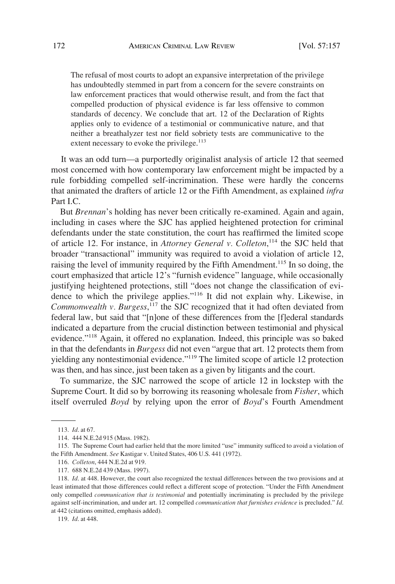The refusal of most courts to adopt an expansive interpretation of the privilege has undoubtedly stemmed in part from a concern for the severe constraints on law enforcement practices that would otherwise result, and from the fact that compelled production of physical evidence is far less offensive to common standards of decency. We conclude that art. 12 of the Declaration of Rights applies only to evidence of a testimonial or communicative nature, and that neither a breathalyzer test nor field sobriety tests are communicative to the extent necessary to evoke the privilege.<sup>113</sup>

It was an odd turn—a purportedly originalist analysis of article 12 that seemed most concerned with how contemporary law enforcement might be impacted by a rule forbidding compelled self-incrimination. These were hardly the concerns that animated the drafters of article 12 or the Fifth Amendment, as explained *infra*  Part I.C.

But *Brennan*'s holding has never been critically re-examined. Again and again, including in cases where the SJC has applied heightened protection for criminal defendants under the state constitution, the court has reaffirmed the limited scope of article 12. For instance, in *Attorney General v. Colleton*, 114 the SJC held that broader "transactional" immunity was required to avoid a violation of article 12, raising the level of immunity required by the Fifth Amendment.115 In so doing, the court emphasized that article 12's "furnish evidence" language, while occasionally justifying heightened protections, still "does not change the classification of evidence to which the privilege applies."116 It did not explain why. Likewise, in Commonwealth v. Burgess,<sup>117</sup> the SJC recognized that it had often deviated from federal law, but said that "[n]one of these differences from the [f]ederal standards indicated a departure from the crucial distinction between testimonial and physical evidence."118 Again, it offered no explanation. Indeed, this principle was so baked in that the defendants in *Burgess* did not even "argue that art. 12 protects them from yielding any nontestimonial evidence."119 The limited scope of article 12 protection was then, and has since, just been taken as a given by litigants and the court.

To summarize, the SJC narrowed the scope of article 12 in lockstep with the Supreme Court. It did so by borrowing its reasoning wholesale from *Fisher*, which itself overruled *Boyd* by relying upon the error of *Boyd*'s Fourth Amendment

<sup>113.</sup> *Id*. at 67.

<sup>114. 444</sup> N.E.2d 915 (Mass. 1982).

<sup>115.</sup> The Supreme Court had earlier held that the more limited "use" immunity sufficed to avoid a violation of the Fifth Amendment. *See* Kastigar v. United States, 406 U.S. 441 (1972).

<sup>116.</sup> *Colleton*, 444 N.E.2d at 919.

<sup>117. 688</sup> N.E.2d 439 (Mass. 1997).

<sup>118.</sup> *Id*. at 448. However, the court also recognized the textual differences between the two provisions and at least intimated that those differences could reflect a different scope of protection. "Under the Fifth Amendment only compelled *communication that is testimonial* and potentially incriminating is precluded by the privilege against self-incrimination, and under art. 12 compelled *communication that furnishes evidence* is precluded." *Id*. at 442 (citations omitted, emphasis added).

<sup>119.</sup> *Id*. at 448.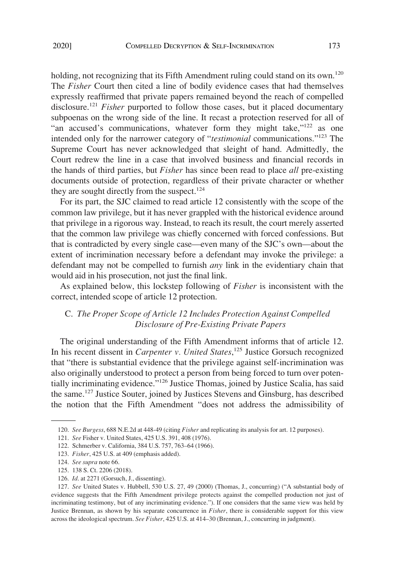holding, not recognizing that its Fifth Amendment ruling could stand on its own.<sup>120</sup> The *Fisher* Court then cited a line of bodily evidence cases that had themselves expressly reaffirmed that private papers remained beyond the reach of compelled disclosure.<sup>121</sup> *Fisher* purported to follow those cases, but it placed documentary subpoenas on the wrong side of the line. It recast a protection reserved for all of "an accused's communications, whatever form they might take,"<sup>122</sup> as one intended only for the narrower category of "*testimonial* communications."123 The Supreme Court has never acknowledged that sleight of hand. Admittedly, the Court redrew the line in a case that involved business and financial records in the hands of third parties, but *Fisher* has since been read to place *all* pre-existing documents outside of protection, regardless of their private character or whether they are sought directly from the suspect.<sup>124</sup>

For its part, the SJC claimed to read article 12 consistently with the scope of the common law privilege, but it has never grappled with the historical evidence around that privilege in a rigorous way. Instead, to reach its result, the court merely asserted that the common law privilege was chiefly concerned with forced confessions. But that is contradicted by every single case—even many of the SJC's own—about the extent of incrimination necessary before a defendant may invoke the privilege: a defendant may not be compelled to furnish *any* link in the evidentiary chain that would aid in his prosecution, not just the final link.

As explained below, this lockstep following of *Fisher* is inconsistent with the correct, intended scope of article 12 protection.

# C. *The Proper Scope of Article 12 Includes Protection Against Compelled Disclosure of Pre-Existing Private Papers*

The original understanding of the Fifth Amendment informs that of article 12. In his recent dissent in *Carpenter v. United States*, 125 Justice Gorsuch recognized that "there is substantial evidence that the privilege against self-incrimination was also originally understood to protect a person from being forced to turn over potentially incriminating evidence."126 Justice Thomas, joined by Justice Scalia, has said the same.127 Justice Souter, joined by Justices Stevens and Ginsburg, has described the notion that the Fifth Amendment "does not address the admissibility of

<sup>120.</sup> *See Burgess*, 688 N.E.2d at 448-49 (citing *Fisher* and replicating its analysis for art. 12 purposes).

<sup>121.</sup> *See* Fisher v. United States, 425 U.S. 391, 408 (1976).

<sup>122.</sup> Schmerber v. California, 384 U.S. 757, 763–64 (1966).

<sup>123.</sup> *Fisher*, 425 U.S. at 409 (emphasis added).

<sup>124.</sup> *See supra* note 66.

<sup>125. 138</sup> S. Ct. 2206 (2018).

<sup>126.</sup> *Id*. at 2271 (Gorsuch, J., dissenting).

<sup>127.</sup> *See* United States v. Hubbell, 530 U.S. 27, 49 (2000) (Thomas, J., concurring) ("A substantial body of evidence suggests that the Fifth Amendment privilege protects against the compelled production not just of incriminating testimony, but of any incriminating evidence."). If one considers that the same view was held by Justice Brennan, as shown by his separate concurrence in *Fisher*, there is considerable support for this view across the ideological spectrum. *See Fisher*, 425 U.S. at 414–30 (Brennan, J., concurring in judgment).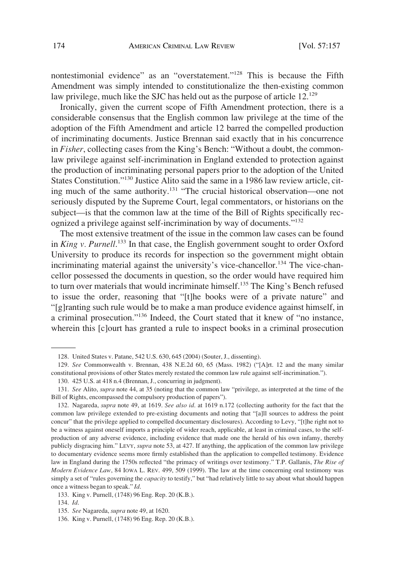nontestimonial evidence" as an "overstatement."<sup>128</sup> This is because the Fifth Amendment was simply intended to constitutionalize the then-existing common law privilege, much like the SJC has held out as the purpose of article  $12^{129}$ 

Ironically, given the current scope of Fifth Amendment protection, there is a considerable consensus that the English common law privilege at the time of the adoption of the Fifth Amendment and article 12 barred the compelled production of incriminating documents. Justice Brennan said exactly that in his concurrence in *Fisher*, collecting cases from the King's Bench: "Without a doubt, the commonlaw privilege against self-incrimination in England extended to protection against the production of incriminating personal papers prior to the adoption of the United States Constitution."130 Justice Alito said the same in a 1986 law review article, citing much of the same authority.131 "The crucial historical observation—one not seriously disputed by the Supreme Court, legal commentators, or historians on the subject—is that the common law at the time of the Bill of Rights specifically recognized a privilege against self-incrimination by way of documents."132

The most extensive treatment of the issue in the common law cases can be found in *King v. Purnell*.<sup>133</sup> In that case, the English government sought to order Oxford University to produce its records for inspection so the government might obtain incriminating material against the university's vice-chancellor.<sup>134</sup> The vice-chancellor possessed the documents in question, so the order would have required him to turn over materials that would incriminate himself.<sup>135</sup> The King's Bench refused to issue the order, reasoning that "[t]he books were of a private nature" and "[g]ranting such rule would be to make a man produce evidence against himself, in a criminal prosecution."136 Indeed, the Court stated that it knew of "no instance, wherein this [c]ourt has granted a rule to inspect books in a criminal prosecution

<sup>128.</sup> United States v. Patane, 542 U.S. 630, 645 (2004) (Souter, J., dissenting).

<sup>129.</sup> *See* Commonwealth v. Brennan, 438 N.E.2d 60, 65 (Mass. 1982) ("[A]rt. 12 and the many similar constitutional provisions of other States merely restated the common law rule against self-incrimination.").

<sup>130. 425</sup> U.S. at 418 n.4 (Brennan, J., concurring in judgment).

<sup>131.</sup> *See* Alito, *supra* note 44, at 35 (noting that the common law "privilege, as interpreted at the time of the Bill of Rights, encompassed the compulsory production of papers").

<sup>132.</sup> Nagareda, *supra* note 49, at 1619. *See also id*. at 1619 n.172 (collecting authority for the fact that the common law privilege extended to pre-existing documents and noting that "[a]ll sources to address the point concur" that the privilege applied to compelled documentary disclosures). According to Levy, "[t]he right not to be a witness against oneself imports a principle of wider reach, applicable, at least in criminal cases, to the selfproduction of any adverse evidence, including evidence that made one the herald of his own infamy, thereby publicly disgracing him." LEVY, *supra* note 53, at 427. If anything, the application of the common law privilege to documentary evidence seems more firmly established than the application to compelled testimony. Evidence law in England during the 1750s reflected "the primacy of writings over testimony." T.P. Gallanis, *The Rise of Modern Evidence Law*, 84 IOWA L. REV. 499, 509 (1999). The law at the time concerning oral testimony was simply a set of "rules governing the *capacity* to testify," but "had relatively little to say about what should happen once a witness began to speak." *Id*.

<sup>133.</sup> King v. Purnell, (1748) 96 Eng. Rep. 20 (K.B.).

<sup>134.</sup> *Id*.

<sup>135.</sup> *See* Nagareda, *supra* note 49, at 1620.

<sup>136.</sup> King v. Purnell, (1748) 96 Eng. Rep. 20 (K.B.).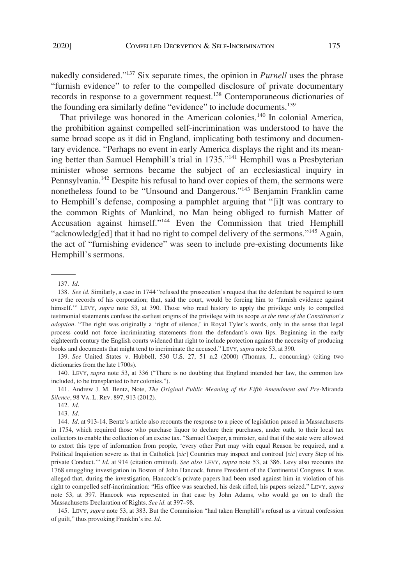nakedly considered."137 Six separate times, the opinion in *Purnell* uses the phrase "furnish evidence" to refer to the compelled disclosure of private documentary records in response to a government request.138 Contemporaneous dictionaries of the founding era similarly define "evidence" to include documents.<sup>139</sup>

That privilege was honored in the American colonies.<sup>140</sup> In colonial America, the prohibition against compelled self-incrimination was understood to have the same broad scope as it did in England, implicating both testimony and documentary evidence. "Perhaps no event in early America displays the right and its meaning better than Samuel Hemphill's trial in 1735."141 Hemphill was a Presbyterian minister whose sermons became the subject of an ecclesiastical inquiry in Pennsylvania.<sup>142</sup> Despite his refusal to hand over copies of them, the sermons were nonetheless found to be "Unsound and Dangerous."143 Benjamin Franklin came to Hemphill's defense, composing a pamphlet arguing that "[i]t was contrary to the common Rights of Mankind, no Man being obliged to furnish Matter of Accusation against himself."144 Even the Commission that tried Hemphill "acknowledg[ed] that it had no right to compel delivery of the sermons."<sup>145</sup> Again, the act of "furnishing evidence" was seen to include pre-existing documents like Hemphill's sermons.

139. *See* United States v. Hubbell, 530 U.S. 27, 51 n.2 (2000) (Thomas, J., concurring) (citing two dictionaries from the late 1700s).

140. LEVY, *supra* note 53, at 336 ("There is no doubting that England intended her law, the common law included, to be transplanted to her colonies.").

141. Andrew J. M. Bentz, Note, *The Original Public Meaning of the Fifth Amendment and Pre*-Miranda *Silence*, 98 VA. L. REV. 897, 913 (2012).

142. *Id*.

143. *Id*.

145. LEVY, *supra* note 53, at 383. But the Commission "had taken Hemphill's refusal as a virtual confession of guilt," thus provoking Franklin's ire. *Id*.

<sup>137.</sup> *Id*.

<sup>138.</sup> *See id*. Similarly, a case in 1744 "refused the prosecution's request that the defendant be required to turn over the records of his corporation; that, said the court, would be forcing him to 'furnish evidence against himself.'" LEVY, *supra* note 53, at 390. Those who read history to apply the privilege only to compelled testimonial statements confuse the earliest origins of the privilege with its scope *at the time of the Constitution's adoption*. "The right was originally a 'right of silence,' in Royal Tyler's words, only in the sense that legal process could not force incriminating statements from the defendant's own lips. Beginning in the early eighteenth century the English courts widened that right to include protection against the necessity of producing books and documents that might tend to incriminate the accused." LEVY, *supra* note 53, at 390.

<sup>144.</sup> *Id*. at 913-14. Bentz's article also recounts the response to a piece of legislation passed in Massachusetts in 1754, which required those who purchase liquor to declare their purchases, under oath, to their local tax collectors to enable the collection of an excise tax. "Samuel Cooper, a minister, said that if the state were allowed to extort this type of information from people, 'every other Part may with equal Reason be required, and a Political Inquisition severe as that in Catholick [*sic*] Countries may inspect and controul [*sic*] every Step of his private Conduct.'" *Id*. at 914 (citation omitted). *See also* LEVY, *supra* note 53, at 386. Levy also recounts the 1768 smuggling investigation in Boston of John Hancock, future President of the Continental Congress. It was alleged that, during the investigation, Hancock's private papers had been used against him in violation of his right to compelled self-incrimination: "His office was searched, his desk rifled, his papers seized." LEVY, *supra*  note 53, at 397. Hancock was represented in that case by John Adams, who would go on to draft the Massachusetts Declaration of Rights. *See id*. at 397–98.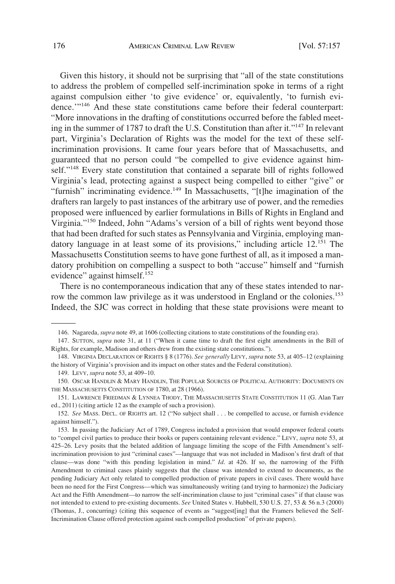Given this history, it should not be surprising that "all of the state constitutions to address the problem of compelled self-incrimination spoke in terms of a right against compulsion either 'to give evidence' or, equivalently, 'to furnish evidence.'"146 And these state constitutions came before their federal counterpart: "More innovations in the drafting of constitutions occurred before the fabled meeting in the summer of 1787 to draft the U.S. Constitution than after it."<sup>147</sup> In relevant part, Virginia's Declaration of Rights was the model for the text of these selfincrimination provisions. It came four years before that of Massachusetts, and guaranteed that no person could "be compelled to give evidence against himself."<sup>148</sup> Every state constitution that contained a separate bill of rights followed Virginia's lead, protecting against a suspect being compelled to either "give" or "furnish" incriminating evidence.<sup>149</sup> In Massachusetts, "[t]he imagination of the drafters ran largely to past instances of the arbitrary use of power, and the remedies proposed were influenced by earlier formulations in Bills of Rights in England and Virginia."150 Indeed, John "Adams's version of a bill of rights went beyond those that had been drafted for such states as Pennsylvania and Virginia, employing mandatory language in at least some of its provisions," including article 12.<sup>151</sup> The Massachusetts Constitution seems to have gone furthest of all, as it imposed a mandatory prohibition on compelling a suspect to both "accuse" himself and "furnish evidence" against himself.<sup>152</sup>

There is no contemporaneous indication that any of these states intended to narrow the common law privilege as it was understood in England or the colonies.<sup>153</sup> Indeed, the SJC was correct in holding that these state provisions were meant to

<sup>146.</sup> Nagareda, *supra* note 49, at 1606 (collecting citations to state constitutions of the founding era).

<sup>147.</sup> SUTTON, *supra* note 31, at 11 ("When it came time to draft the first eight amendments in the Bill of Rights, for example, Madison and others drew from the existing state constitutions.").

<sup>148.</sup> VIRGINIA DECLARATION OF RIGHTS § 8 (1776). *See generally* LEVY, *supra* note 53, at 405–12 (explaining the history of Virginia's provision and its impact on other states and the Federal constitution).

<sup>149.</sup> LEVY, *supra* note 53, at 409–10.

<sup>150.</sup> OSCAR HANDLIN & MARY HANDLIN, THE POPULAR SOURCES OF POLITICAL AUTHORITY: DOCUMENTS ON THE MASSACHUSETTS CONSTITUTION OF 1780, at 28 (1966).

<sup>151.</sup> LAWRENCE FRIEDMAN & LYNNEA THODY, THE MASSACHUSETTS STATE CONSTITUTION 11 (G. Alan Tarr ed., 2011) (citing article 12 as the example of such a provision).

<sup>152.</sup> *See* MASS. DECL. OF RIGHTS art. 12 ("No subject shall . . . be compelled to accuse, or furnish evidence against himself.").

<sup>153.</sup> In passing the Judiciary Act of 1789, Congress included a provision that would empower federal courts to "compel civil parties to produce their books or papers containing relevant evidence." LEVY, *supra* note 53, at 425–26. Levy posits that the belated addition of language limiting the scope of the Fifth Amendment's selfincrimination provision to just "criminal cases"—language that was not included in Madison's first draft of that clause—was done "with this pending legislation in mind." *Id*. at 426. If so, the narrowing of the Fifth Amendment to criminal cases plainly suggests that the clause was intended to extend to documents, as the pending Judiciary Act only related to compelled production of private papers in civil cases. There would have been no need for the First Congress—which was simultaneously writing (and trying to harmonize) the Judiciary Act and the Fifth Amendment—to narrow the self-incrimination clause to just "criminal cases" if that clause was not intended to extend to pre-existing documents. *See* United States v. Hubbell, 530 U.S. 27, 53 & 56 n.3 (2000) (Thomas, J., concurring) (citing this sequence of events as "suggest[ing] that the Framers believed the Self-Incrimination Clause offered protection against such compelled production" of private papers).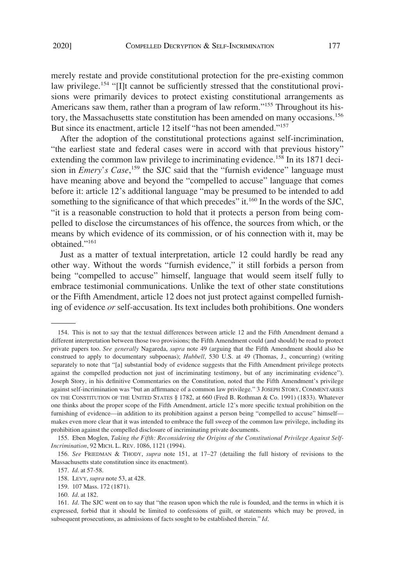merely restate and provide constitutional protection for the pre-existing common law privilege.<sup>154</sup> "[I]t cannot be sufficiently stressed that the constitutional provisions were primarily devices to protect existing constitutional arrangements as Americans saw them, rather than a program of law reform."<sup>155</sup> Throughout its history, the Massachusetts state constitution has been amended on many occasions.<sup>156</sup> But since its enactment, article 12 itself "has not been amended."<sup>157</sup>

After the adoption of the constitutional protections against self-incrimination, "the earliest state and federal cases were in accord with that previous history" extending the common law privilege to incriminating evidence.<sup>158</sup> In its 1871 decision in *Emery's Case*, 159 the SJC said that the "furnish evidence" language must have meaning above and beyond the "compelled to accuse" language that comes before it: article 12's additional language "may be presumed to be intended to add something to the significance of that which precedes" it.<sup>160</sup> In the words of the SJC, "it is a reasonable construction to hold that it protects a person from being compelled to disclose the circumstances of his offence, the sources from which, or the means by which evidence of its commission, or of his connection with it, may be obtained."<sup>161</sup>

Just as a matter of textual interpretation, article 12 could hardly be read any other way. Without the words "furnish evidence," it still forbids a person from being "compelled to accuse" himself, language that would seem itself fully to embrace testimonial communications. Unlike the text of other state constitutions or the Fifth Amendment, article 12 does not just protect against compelled furnishing of evidence *or* self-accusation. Its text includes both prohibitions. One wonders

<sup>154.</sup> This is not to say that the textual differences between article 12 and the Fifth Amendment demand a different interpretation between those two provisions; the Fifth Amendment could (and should) be read to protect private papers too. *See generally* Nagareda, *supra* note 49 (arguing that the Fifth Amendment should also be construed to apply to documentary subpoenas); *Hubbell*, 530 U.S. at 49 (Thomas, J., concurring) (writing separately to note that "[a] substantial body of evidence suggests that the Fifth Amendment privilege protects against the compelled production not just of incriminating testimony, but of any incriminating evidence"). Joseph Story, in his definitive Commentaries on the Constitution, noted that the Fifth Amendment's privilege against self-incrimination was "but an affirmance of a common law privilege." 3 JOSEPH STORY, COMMENTARIES ON THE CONSTITUTION OF THE UNITED STATES § 1782, at 660 (Fred B. Rothman & Co. 1991) (1833). Whatever one thinks about the proper scope of the Fifth Amendment, article 12's more specific textual prohibition on the furnishing of evidence—in addition to its prohibition against a person being "compelled to accuse" himself makes even more clear that it was intended to embrace the full sweep of the common law privilege, including its prohibition against the compelled disclosure of incriminating private documents.

<sup>155.</sup> Eben Moglen, *Taking the Fifth: Reconsidering the Origins of the Constitutional Privilege Against Self-Incrimination*, 92 MICH. L. REV. 1086, 1121 (1994).

<sup>156.</sup> *See* FRIEDMAN & THODY, *supra* note 151, at 17–27 (detailing the full history of revisions to the Massachusetts state constitution since its enactment).

<sup>157.</sup> *Id*. at 57-58.

<sup>158.</sup> LEVY, *supra* note 53, at 428.

<sup>159. 107</sup> Mass. 172 (1871).

<sup>160.</sup> *Id*. at 182.

<sup>161.</sup> *Id*. The SJC went on to say that "the reason upon which the rule is founded, and the terms in which it is expressed, forbid that it should be limited to confessions of guilt, or statements which may be proved, in subsequent prosecutions, as admissions of facts sought to be established therein." *Id*.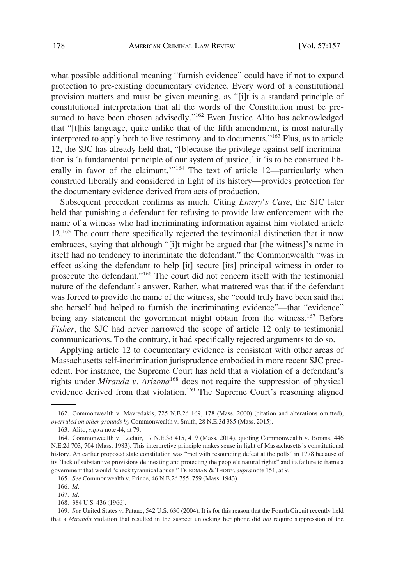what possible additional meaning "furnish evidence" could have if not to expand protection to pre-existing documentary evidence. Every word of a constitutional provision matters and must be given meaning, as "[i]t is a standard principle of constitutional interpretation that all the words of the Constitution must be presumed to have been chosen advisedly."<sup>162</sup> Even Justice Alito has acknowledged that "[t]his language, quite unlike that of the fifth amendment, is most naturally interpreted to apply both to live testimony and to documents."163 Plus, as to article 12, the SJC has already held that, "[b]ecause the privilege against self-incrimination is 'a fundamental principle of our system of justice,' it 'is to be construed liberally in favor of the claimant.'"164 The text of article 12—particularly when construed liberally and considered in light of its history—provides protection for the documentary evidence derived from acts of production.

Subsequent precedent confirms as much. Citing *Emery's Case*, the SJC later held that punishing a defendant for refusing to provide law enforcement with the name of a witness who had incriminating information against him violated article 12.165 The court there specifically rejected the testimonial distinction that it now embraces, saying that although "[i]t might be argued that [the witness]'s name in itself had no tendency to incriminate the defendant," the Commonwealth "was in effect asking the defendant to help [it] secure [its] principal witness in order to prosecute the defendant."166 The court did not concern itself with the testimonial nature of the defendant's answer. Rather, what mattered was that if the defendant was forced to provide the name of the witness, she "could truly have been said that she herself had helped to furnish the incriminating evidence"—that "evidence" being any statement the government might obtain from the witness.<sup>167</sup> Before *Fisher*, the SJC had never narrowed the scope of article 12 only to testimonial communications. To the contrary, it had specifically rejected arguments to do so.

Applying article 12 to documentary evidence is consistent with other areas of Massachusetts self-incrimination jurisprudence embodied in more recent SJC precedent. For instance, the Supreme Court has held that a violation of a defendant's rights under *Miranda v. Arizona*168 does not require the suppression of physical evidence derived from that violation.<sup>169</sup> The Supreme Court's reasoning aligned

<sup>162.</sup> Commonwealth v. Mavredakis, 725 N.E.2d 169, 178 (Mass. 2000) (citation and alterations omitted), *overruled on other grounds by* Commonwealth v. Smith, 28 N.E.3d 385 (Mass. 2015).

<sup>163.</sup> Alito, *supra* note 44, at 79.

<sup>164.</sup> Commonwealth v. Leclair, 17 N.E.3d 415, 419 (Mass. 2014), quoting Commonwealth v. Borans, 446 N.E.2d 703, 704 (Mass. 1983). This interpretive principle makes sense in light of Massachusetts's constitutional history. An earlier proposed state constitution was "met with resounding defeat at the polls" in 1778 because of its "lack of substantive provisions delineating and protecting the people's natural rights" and its failure to frame a government that would "check tyrannical abuse." FRIEDMAN & THODY, *supra* note 151, at 9.

<sup>165.</sup> *See* Commonwealth v. Prince, 46 N.E.2d 755, 759 (Mass. 1943).

<sup>166.</sup> *Id*.

<sup>167.</sup> *Id*.

<sup>168. 384</sup> U.S. 436 (1966).

<sup>169.</sup> *See* United States v. Patane, 542 U.S. 630 (2004). It is for this reason that the Fourth Circuit recently held that a *Miranda* violation that resulted in the suspect unlocking her phone did *not* require suppression of the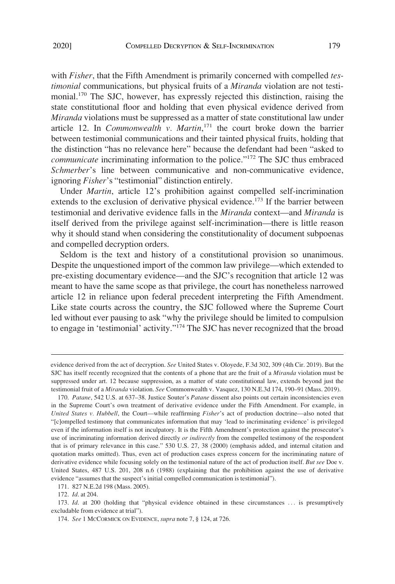with *Fisher*, that the Fifth Amendment is primarily concerned with compelled *testimonial* communications, but physical fruits of a *Miranda* violation are not testimonial.<sup>170</sup> The SJC, however, has expressly rejected this distinction, raising the state constitutional floor and holding that even physical evidence derived from *Miranda* violations must be suppressed as a matter of state constitutional law under article 12. In *Commonwealth v. Martin*, 171 the court broke down the barrier between testimonial communications and their tainted physical fruits, holding that the distinction "has no relevance here" because the defendant had been "asked to *communicate* incriminating information to the police."<sup>172</sup> The SJC thus embraced *Schmerber*'s line between communicative and non-communicative evidence, ignoring *Fisher*'s "testimonial" distinction entirely.

Under *Martin*, article 12's prohibition against compelled self-incrimination extends to the exclusion of derivative physical evidence.<sup>173</sup> If the barrier between testimonial and derivative evidence falls in the *Miranda* context—and *Miranda* is itself derived from the privilege against self-incrimination—there is little reason why it should stand when considering the constitutionality of document subpoenas and compelled decryption orders.

Seldom is the text and history of a constitutional provision so unanimous. Despite the unquestioned import of the common law privilege—which extended to pre-existing documentary evidence—and the SJC's recognition that article 12 was meant to have the same scope as that privilege, the court has nonetheless narrowed article 12 in reliance upon federal precedent interpreting the Fifth Amendment. Like state courts across the country, the SJC followed where the Supreme Court led without ever pausing to ask "why the privilege should be limited to compulsion to engage in 'testimonial' activity."174 The SJC has never recognized that the broad

evidence derived from the act of decryption. *See* United States v. Oloyede, F.3d 302, 309 (4th Cir. 2019). But the SJC has itself recently recognized that the contents of a phone that are the fruit of a *Miranda* violation must be suppressed under art. 12 because suppression, as a matter of state constitutional law, extends beyond just the testimonial fruit of a *Miranda* violation. *See* Commonwealth v. Vasquez, 130 N.E.3d 174, 190–91 (Mass. 2019).

<sup>170.</sup> *Patane*, 542 U.S. at 637–38. Justice Souter's *Patane* dissent also points out certain inconsistencies even in the Supreme Court's own treatment of derivative evidence under the Fifth Amendment. For example, in *United States v. Hubbell*, the Court—while reaffirming *Fisher*'s act of production doctrine—also noted that "[c]ompelled testimony that communicates information that may 'lead to incriminating evidence' is privileged even if the information itself is not inculpatory. It is the Fifth Amendment's protection against the prosecutor's use of incriminating information derived directly *or indirectly* from the compelled testimony of the respondent that is of primary relevance in this case." 530 U.S. 27, 38 (2000) (emphasis added, and internal citation and quotation marks omitted). Thus, even act of production cases express concern for the incriminating nature of derivative evidence while focusing solely on the testimonial nature of the act of production itself. *But see* Doe v. United States, 487 U.S. 201, 208 n.6 (1988) (explaining that the prohibition against the use of derivative evidence "assumes that the suspect's initial compelled communication is testimonial").

<sup>171. 827</sup> N.E.2d 198 (Mass. 2005).

<sup>172.</sup> *Id*. at 204.

<sup>173.</sup> *Id.* at 200 (holding that "physical evidence obtained in these circumstances ... is presumptively excludable from evidence at trial").

<sup>174.</sup> *See* 1 MCCORMICK ON EVIDENCE, *supra* note 7, § 124, at 726.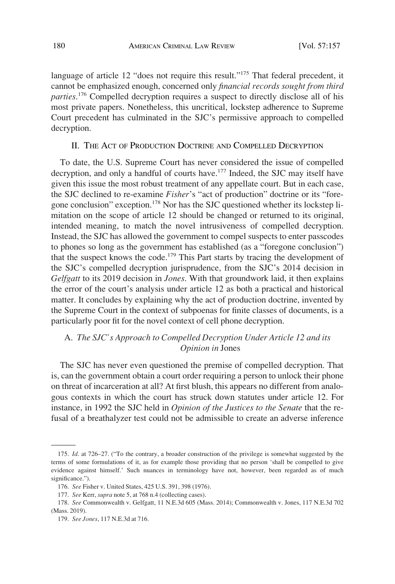language of article 12 "does not require this result."<sup>175</sup> That federal precedent, it cannot be emphasized enough, concerned only *financial records sought from third parties*. 176 Compelled decryption requires a suspect to directly disclose all of his most private papers. Nonetheless, this uncritical, lockstep adherence to Supreme Court precedent has culminated in the SJC's permissive approach to compelled decryption.

## II. THE ACT OF PRODUCTION DOCTRINE AND COMPELLED DECRYPTION

To date, the U.S. Supreme Court has never considered the issue of compelled decryption, and only a handful of courts have.<sup>177</sup> Indeed, the SJC may itself have given this issue the most robust treatment of any appellate court. But in each case, the SJC declined to re-examine *Fisher*'s "act of production" doctrine or its "foregone conclusion" exception.<sup>178</sup> Nor has the SJC questioned whether its lockstep limitation on the scope of article 12 should be changed or returned to its original, intended meaning, to match the novel intrusiveness of compelled decryption. Instead, the SJC has allowed the government to compel suspects to enter passcodes to phones so long as the government has established (as a "foregone conclusion") that the suspect knows the code.<sup>179</sup> This Part starts by tracing the development of the SJC's compelled decryption jurisprudence, from the SJC's 2014 decision in *Gelfgatt* to its 2019 decision in *Jones*. With that groundwork laid, it then explains the error of the court's analysis under article 12 as both a practical and historical matter. It concludes by explaining why the act of production doctrine, invented by the Supreme Court in the context of subpoenas for finite classes of documents, is a particularly poor fit for the novel context of cell phone decryption.

# A. *The SJC's Approach to Compelled Decryption Under Article 12 and its Opinion in* Jones

The SJC has never even questioned the premise of compelled decryption. That is, can the government obtain a court order requiring a person to unlock their phone on threat of incarceration at all? At first blush, this appears no different from analogous contexts in which the court has struck down statutes under article 12. For instance, in 1992 the SJC held in *Opinion of the Justices to the Senate* that the refusal of a breathalyzer test could not be admissible to create an adverse inference

<sup>175.</sup> *Id*. at 726–27. ("To the contrary, a broader construction of the privilege is somewhat suggested by the terms of some formulations of it, as for example those providing that no person 'shall be compelled to give evidence against himself.' Such nuances in terminology have not, however, been regarded as of much significance.").

<sup>176.</sup> *See* Fisher v. United States, 425 U.S. 391, 398 (1976).

<sup>177.</sup> *See* Kerr, *supra* note 5, at 768 n.4 (collecting cases).

<sup>178.</sup> *See* Commonwealth v. Gelfgatt, 11 N.E.3d 605 (Mass. 2014); Commonwealth v. Jones, 117 N.E.3d 702 (Mass. 2019).

<sup>179.</sup> *See Jones*, 117 N.E.3d at 716.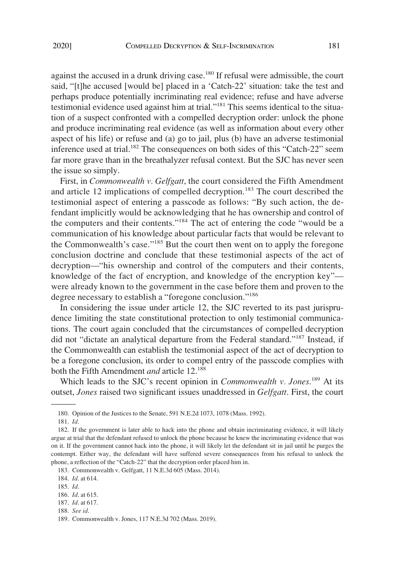against the accused in a drunk driving case.<sup>180</sup> If refusal were admissible, the court said, "[t]he accused [would be] placed in a 'Catch-22' situation: take the test and perhaps produce potentially incriminating real evidence; refuse and have adverse testimonial evidence used against him at trial."181 This seems identical to the situation of a suspect confronted with a compelled decryption order: unlock the phone and produce incriminating real evidence (as well as information about every other aspect of his life) or refuse and (a) go to jail, plus (b) have an adverse testimonial inference used at trial.<sup>182</sup> The consequences on both sides of this "Catch-22" seem far more grave than in the breathalyzer refusal context. But the SJC has never seen the issue so simply.

First, in *Commonwealth v. Gelfgatt*, the court considered the Fifth Amendment and article 12 implications of compelled decryption.<sup>183</sup> The court described the testimonial aspect of entering a passcode as follows: "By such action, the defendant implicitly would be acknowledging that he has ownership and control of the computers and their contents."184 The act of entering the code "would be a communication of his knowledge about particular facts that would be relevant to the Commonwealth's case."185 But the court then went on to apply the foregone conclusion doctrine and conclude that these testimonial aspects of the act of decryption—"his ownership and control of the computers and their contents, knowledge of the fact of encryption, and knowledge of the encryption key" were already known to the government in the case before them and proven to the degree necessary to establish a "foregone conclusion."<sup>186</sup>

In considering the issue under article 12, the SJC reverted to its past jurisprudence limiting the state constitutional protection to only testimonial communications. The court again concluded that the circumstances of compelled decryption did not "dictate an analytical departure from the Federal standard."<sup>187</sup> Instead, if the Commonwealth can establish the testimonial aspect of the act of decryption to be a foregone conclusion, its order to compel entry of the passcode complies with both the Fifth Amendment *and* article 12.188

Which leads to the SJC's recent opinion in *Commonwealth v. Jones*. 189 At its outset, *Jones* raised two significant issues unaddressed in *Gelfgatt*. First, the court

183. Commonwealth v. Gelfgatt, 11 N.E.3d 605 (Mass. 2014).

<sup>180.</sup> Opinion of the Justices to the Senate, 591 N.E.2d 1073, 1078 (Mass. 1992).

<sup>181.</sup> *Id*.

<sup>182.</sup> If the government is later able to hack into the phone and obtain incriminating evidence, it will likely argue at trial that the defendant refused to unlock the phone because he knew the incriminating evidence that was on it. If the government cannot hack into the phone, it will likely let the defendant sit in jail until he purges the contempt. Either way, the defendant will have suffered severe consequences from his refusal to unlock the phone, a reflection of the "Catch-22" that the decryption order placed him in.

<sup>184.</sup> *Id*. at 614.

<sup>185.</sup> *Id*.

<sup>186.</sup> *Id*. at 615.

<sup>187.</sup> *Id*. at 617.

<sup>188.</sup> *See id*.

<sup>189.</sup> Commonwealth v. Jones, 117 N.E.3d 702 (Mass. 2019).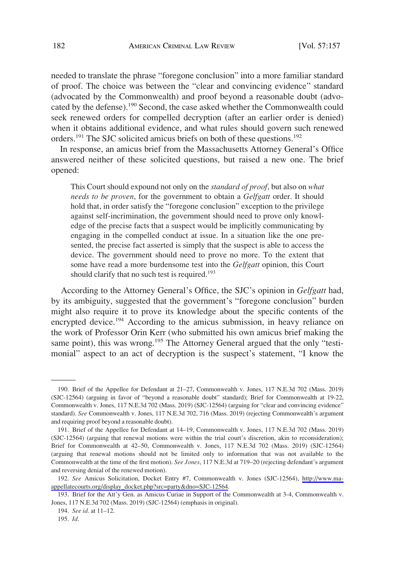needed to translate the phrase "foregone conclusion" into a more familiar standard of proof. The choice was between the "clear and convincing evidence" standard (advocated by the Commonwealth) and proof beyond a reasonable doubt (advocated by the defense).190 Second, the case asked whether the Commonwealth could seek renewed orders for compelled decryption (after an earlier order is denied) when it obtains additional evidence, and what rules should govern such renewed orders.<sup>191</sup> The SJC solicited amicus briefs on both of these questions.<sup>192</sup>

In response, an amicus brief from the Massachusetts Attorney General's Office answered neither of these solicited questions, but raised a new one. The brief opened:

This Court should expound not only on the *standard of proof*, but also on *what needs to be proven*, for the government to obtain a *Gelfgatt* order. It should hold that, in order satisfy the "foregone conclusion" exception to the privilege against self-incrimination, the government should need to prove only knowledge of the precise facts that a suspect would be implicitly communicating by engaging in the compelled conduct at issue. In a situation like the one presented, the precise fact asserted is simply that the suspect is able to access the device. The government should need to prove no more. To the extent that some have read a more burdensome test into the *Gelfgatt* opinion, this Court should clarify that no such test is required.<sup>193</sup>

According to the Attorney General's Office, the SJC's opinion in *Gelfgatt* had, by its ambiguity, suggested that the government's "foregone conclusion" burden might also require it to prove its knowledge about the specific contents of the encrypted device.<sup>194</sup> According to the amicus submission, in heavy reliance on the work of Professor Orin Kerr (who submitted his own amicus brief making the same point), this was wrong.<sup>195</sup> The Attorney General argued that the only "testimonial" aspect to an act of decryption is the suspect's statement, "I know the

<sup>190.</sup> Brief of the Appellee for Defendant at 21–27, Commonwealth v. Jones, 117 N.E.3d 702 (Mass. 2019) (SJC-12564) (arguing in favor of "beyond a reasonable doubt" standard); Brief for Commonwealth at 19-22, Commonwealth v. Jones, 117 N.E.3d 702 (Mass. 2019) (SJC-12564) (arguing for "clear and convincing evidence" standard). *See* Commonwealth v. Jones, 117 N.E.3d 702, 716 (Mass. 2019) (rejecting Commonwealth's argument and requiring proof beyond a reasonable doubt).

<sup>191.</sup> Brief of the Appellee for Defendant at 14–19, Commonwealth v. Jones, 117 N.E.3d 702 (Mass. 2019) (SJC-12564) (arguing that renewal motions were within the trial court's discretion, akin to reconsideration); Brief for Commonwealth at 42–50, Commonwealth v. Jones, 117 N.E.3d 702 (Mass. 2019) (SJC-12564) (arguing that renewal motions should not be limited only to information that was not available to the Commonwealth at the time of the first motion). *See Jones*, 117 N.E.3d at 719–20 (rejecting defendant's argument and reversing denial of the renewed motion).

*See* Amicus Solicitation, Docket Entry #7, Commonwealth v. Jones (SJC-12564), [http://www.ma-](http://www.ma-appellatecourts.org/display_docket.php?src=party&dno=SJC-12564)192. [appellatecourts.org/display\\_docket.php?src=party&dno=SJC-12564.](http://www.ma-appellatecourts.org/display_docket.php?src=party&dno=SJC-12564)

<sup>193.</sup> Brief for the Att'y Gen. as Amicus Curiae in Support of the Commonwealth at 3-4, Commonwealth v. Jones, 117 N.E.3d 702 (Mass. 2019) (SJC-12564) (emphasis in original).

<sup>194.</sup> *See id*. at 11–12.

<sup>195.</sup> *Id*.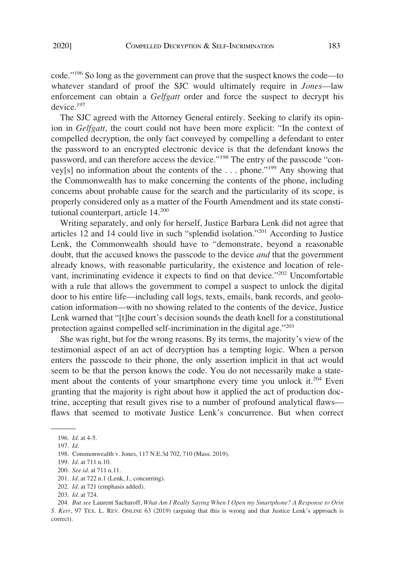code."196 So long as the government can prove that the suspect knows the code—to whatever standard of proof the SJC would ultimately require in *Jones*—law enforcement can obtain a *Gelfgatt* order and force the suspect to decrypt his device.<sup>197</sup>

The SJC agreed with the Attorney General entirely. Seeking to clarify its opinion in *Gelfgatt*, the court could not have been more explicit: "In the context of compelled decryption, the only fact conveyed by compelling a defendant to enter the password to an encrypted electronic device is that the defendant knows the password, and can therefore access the device."198 The entry of the passcode "convey[s] no information about the contents of the . . . phone."199 Any showing that the Commonwealth has to make concerning the contents of the phone, including concerns about probable cause for the search and the particularity of its scope, is properly considered only as a matter of the Fourth Amendment and its state constitutional counterpart, article  $14.200$ 

Writing separately, and only for herself, Justice Barbara Lenk did not agree that articles 12 and 14 could live in such "splendid isolation."201 According to Justice Lenk, the Commonwealth should have to "demonstrate, beyond a reasonable doubt, that the accused knows the passcode to the device *and* that the government already knows, with reasonable particularity, the existence and location of relevant, incriminating evidence it expects to find on that device."<sup>202</sup> Uncomfortable with a rule that allows the government to compel a suspect to unlock the digital door to his entire life—including call logs, texts, emails, bank records, and geolocation information—with no showing related to the contents of the device, Justice Lenk warned that "[t]he court's decision sounds the death knell for a constitutional protection against compelled self-incrimination in the digital age."203

She was right, but for the wrong reasons. By its terms, the majority's view of the testimonial aspect of an act of decryption has a tempting logic. When a person enters the passcode to their phone, the only assertion implicit in that act would seem to be that the person knows the code. You do not necessarily make a statement about the contents of your smartphone every time you unlock it.<sup>204</sup> Even granting that the majority is right about how it applied the act of production doctrine, accepting that result gives rise to a number of profound analytical flaws flaws that seemed to motivate Justice Lenk's concurrence. But when correct

<sup>196.</sup> *Id*. at 4-5.

<sup>197.</sup> *Id*.

<sup>198.</sup> Commonwealth v. Jones, 117 N.E.3d 702, 710 (Mass. 2019).

<sup>199.</sup> *Id*. at 711 n.10.

<sup>200.</sup> *See id*. at 711 n.11.

<sup>201.</sup> *Id*. at 722 n.1 (Lenk, J., concurring).

<sup>202.</sup> *Id*. at 721 (emphasis added).

<sup>203.</sup> *Id*. at 724.

<sup>204.</sup> *But see* Laurent Sacharoff, *What Am I Really Saying When I Open my Smartphone? A Response to Orin S. Kerr*, 97 TEX. L. REV. ONLINE 63 (2019) (arguing that this is wrong and that Justice Lenk's approach is correct).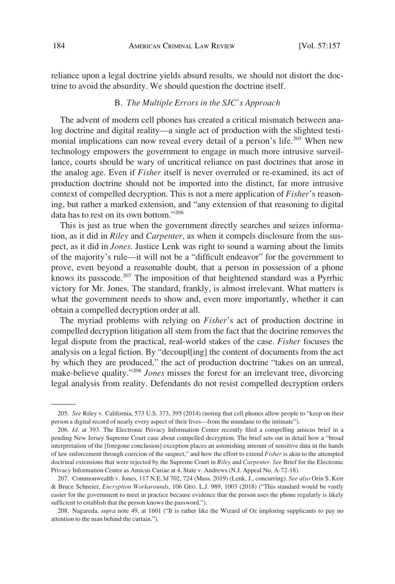reliance upon a legal doctrine yields absurd results, we should not distort the doctrine to avoid the absurdity. We should question the doctrine itself.

#### B. *The Multiple Errors in the SJC's Approach*

The advent of modern cell phones has created a critical mismatch between analog doctrine and digital reality—a single act of production with the slightest testimonial implications can now reveal every detail of a person's life.<sup>205</sup> When new technology empowers the government to engage in much more intrusive surveillance, courts should be wary of uncritical reliance on past doctrines that arose in the analog age. Even if *Fisher* itself is never overruled or re-examined, its act of production doctrine should not be imported into the distinct, far more intrusive context of compelled decryption. This is not a mere application of *Fisher*'s reasoning, but rather a marked extension, and "any extension of that reasoning to digital data has to rest on its own bottom."206

This is just as true when the government directly searches and seizes information, as it did in *Riley* and *Carpenter*, as when it compels disclosure from the suspect, as it did in *Jones*. Justice Lenk was right to sound a warning about the limits of the majority's rule—it will not be a "difficult endeavor" for the government to prove, even beyond a reasonable doubt, that a person in possession of a phone knows its passcode.207 The imposition of that heightened standard was a Pyrrhic victory for Mr. Jones. The standard, frankly, is almost irrelevant. What matters is what the government needs to show and, even more importantly, whether it can obtain a compelled decryption order at all.

The myriad problems with relying on *Fisher*'s act of production doctrine in compelled decryption litigation all stem from the fact that the doctrine removes the legal dispute from the practical, real-world stakes of the case. *Fisher* focuses the analysis on a legal fiction. By "decoupl[ing] the content of documents from the act by which they are produced," the act of production doctrine "takes on an unreal, make-believe quality."208 *Jones* misses the forest for an irrelevant tree, divorcing legal analysis from reality. Defendants do not resist compelled decryption orders

<sup>205.</sup> *See* Riley v. California, 573 U.S. 373, 395 (2014) (noting that cell phones allow people to "keep on their person a digital record of nearly every aspect of their lives—from the mundane to the intimate").

<sup>206.</sup> *Id*. at 393. The Electronic Privacy Information Center recently filed a compelling amicus brief in a pending New Jersey Supreme Court case about compelled decryption. The brief sets out in detail how a "broad interpretation of the [foregone conclusion] exception places an astonishing amount of sensitive data in the hands of law enforcement through coercion of the suspect," and how the effort to extend *Fisher* is akin to the attempted doctrinal extensions that were rejected by the Supreme Court in *Riley* and *Carpenter*. *See* Brief for the Electronic Privacy Information Center as Amicus Curiae at 4, State v. Andrews (N.J. Appeal No. A-72-18).

<sup>207.</sup> Commonwealth v. Jones, 117 N.E.3d 702, 724 (Mass. 2019) (Lenk, J., concurring). *See also* Orin S. Kerr & Bruce Schneier, *Encryption Workarounds*, 106 GEO. L.J. 989, 1003 (2018) ("This standard would be vastly easier for the government to meet in practice because evidence that the person uses the phone regularly is likely sufficient to establish that the person knows the password.").

<sup>208.</sup> Nagareda, *supra* note 49, at 1601 ("It is rather like the Wizard of Oz imploring supplicants to pay no attention to the man behind the curtain.").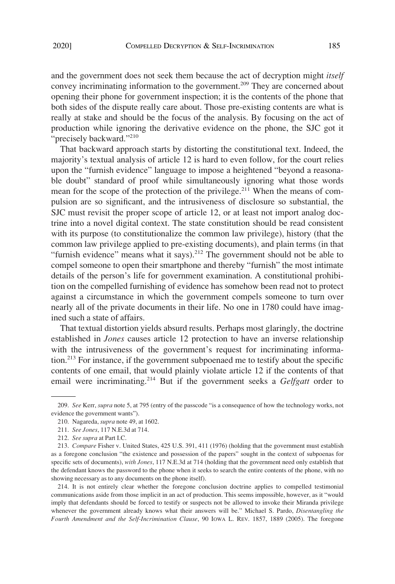and the government does not seek them because the act of decryption might *itself*  convey incriminating information to the government.<sup>209</sup> They are concerned about opening their phone for government inspection; it is the contents of the phone that both sides of the dispute really care about. Those pre-existing contents are what is really at stake and should be the focus of the analysis. By focusing on the act of production while ignoring the derivative evidence on the phone, the SJC got it "precisely backward."<sup>210</sup>

That backward approach starts by distorting the constitutional text. Indeed, the majority's textual analysis of article 12 is hard to even follow, for the court relies upon the "furnish evidence" language to impose a heightened "beyond a reasonable doubt" standard of proof while simultaneously ignoring what those words mean for the scope of the protection of the privilege.<sup>211</sup> When the means of compulsion are so significant, and the intrusiveness of disclosure so substantial, the SJC must revisit the proper scope of article 12, or at least not import analog doctrine into a novel digital context. The state constitution should be read consistent with its purpose (to constitutionalize the common law privilege), history (that the common law privilege applied to pre-existing documents), and plain terms (in that "furnish evidence" means what it says). $2^{12}$  The government should not be able to compel someone to open their smartphone and thereby "furnish" the most intimate details of the person's life for government examination. A constitutional prohibition on the compelled furnishing of evidence has somehow been read not to protect against a circumstance in which the government compels someone to turn over nearly all of the private documents in their life. No one in 1780 could have imagined such a state of affairs.

That textual distortion yields absurd results. Perhaps most glaringly, the doctrine established in *Jones* causes article 12 protection to have an inverse relationship with the intrusiveness of the government's request for incriminating information.213 For instance, if the government subpoenaed me to testify about the specific contents of one email, that would plainly violate article 12 if the contents of that email were incriminating.<sup>214</sup> But if the government seeks a *Gelfgatt* order to

<sup>209.</sup> *See* Kerr, *supra* note 5, at 795 (entry of the passcode "is a consequence of how the technology works, not evidence the government wants").

<sup>210.</sup> Nagareda, *supra* note 49, at 1602.

<sup>211.</sup> *See Jones*, 117 N.E.3d at 714.

<sup>212.</sup> *See supra* at Part I.C.

<sup>213.</sup> *Compare* Fisher v. United States, 425 U.S. 391, 411 (1976) (holding that the government must establish as a foregone conclusion "the existence and possession of the papers" sought in the context of subpoenas for specific sets of documents), *with Jones*, 117 N.E.3d at 714 (holding that the government need only establish that the defendant knows the password to the phone when it seeks to search the entire contents of the phone, with no showing necessary as to any documents on the phone itself).

<sup>214.</sup> It is not entirely clear whether the foregone conclusion doctrine applies to compelled testimonial communications aside from those implicit in an act of production. This seems impossible, however, as it "would imply that defendants should be forced to testify or suspects not be allowed to invoke their Miranda privilege whenever the government already knows what their answers will be." Michael S. Pardo, *Disentangling the Fourth Amendment and the Self-Incrimination Clause*, 90 IOWA L. REV. 1857, 1889 (2005). The foregone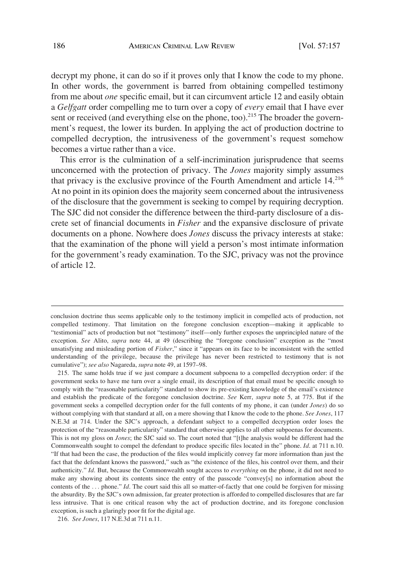decrypt my phone, it can do so if it proves only that I know the code to my phone. In other words, the government is barred from obtaining compelled testimony from me about *one* specific email, but it can circumvent article 12 and easily obtain a *Gelfgatt* order compelling me to turn over a copy of *every* email that I have ever sent or received (and everything else on the phone, too).<sup>215</sup> The broader the government's request, the lower its burden. In applying the act of production doctrine to compelled decryption, the intrusiveness of the government's request somehow becomes a virtue rather than a vice.

This error is the culmination of a self-incrimination jurisprudence that seems unconcerned with the protection of privacy. The *Jones* majority simply assumes that privacy is the exclusive province of the Fourth Amendment and article 14.216 At no point in its opinion does the majority seem concerned about the intrusiveness of the disclosure that the government is seeking to compel by requiring decryption. The SJC did not consider the difference between the third-party disclosure of a discrete set of financial documents in *Fisher* and the expansive disclosure of private documents on a phone. Nowhere does *Jones* discuss the privacy interests at stake: that the examination of the phone will yield a person's most intimate information for the government's ready examination. To the SJC, privacy was not the province of article 12.

conclusion doctrine thus seems applicable only to the testimony implicit in compelled acts of production, not compelled testimony. That limitation on the foregone conclusion exception—making it applicable to "testimonial" acts of production but not "testimony" itself—only further exposes the unprincipled nature of the exception. *See* Alito, *supra* note 44, at 49 (describing the "foregone conclusion" exception as the "most unsatisfying and misleading portion of *Fisher*," since it "appears on its face to be inconsistent with the settled understanding of the privilege, because the privilege has never been restricted to testimony that is not cumulative"); *see also* Nagareda, *supra* note 49, at 1597–98.

<sup>215.</sup> The same holds true if we just compare a document subpoena to a compelled decryption order: if the government seeks to have me turn over a single email, its description of that email must be specific enough to comply with the "reasonable particularity" standard to show its pre-existing knowledge of the email's existence and establish the predicate of the foregone conclusion doctrine. *See* Kerr, *supra* note 5, at 775. But if the government seeks a compelled decryption order for the full contents of my phone, it can (under *Jones*) do so without complying with that standard at all, on a mere showing that I know the code to the phone. *See Jones*, 117 N.E.3d at 714. Under the SJC's approach, a defendant subject to a compelled decryption order loses the protection of the "reasonable particularity" standard that otherwise applies to all other subpoenas for documents. This is not my gloss on *Jones*; the SJC said so. The court noted that "[t]he analysis would be different had the Commonwealth sought to compel the defendant to produce specific files located in the" phone. *Id*. at 711 n.10. "If that had been the case, the production of the files would implicitly convey far more information than just the fact that the defendant knows the password," such as "the existence of the files, his control over them, and their authenticity." *Id*. But, because the Commonwealth sought access to *everything* on the phone, it did not need to make any showing about its contents since the entry of the passcode "convey[s] no information about the contents of the ... phone." *Id*. The court said this all so matter-of-factly that one could be forgiven for missing the absurdity. By the SJC's own admission, far greater protection is afforded to compelled disclosures that are far less intrusive. That is one critical reason why the act of production doctrine, and its foregone conclusion exception, is such a glaringly poor fit for the digital age.

<sup>216.</sup> *See Jones*, 117 N.E.3d at 711 n.11.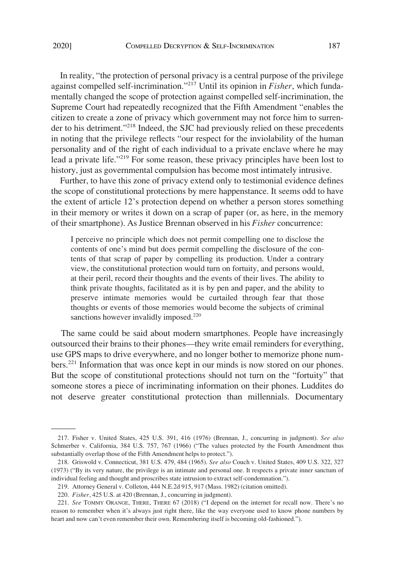In reality, "the protection of personal privacy is a central purpose of the privilege against compelled self-incrimination."217 Until its opinion in *Fisher*, which fundamentally changed the scope of protection against compelled self-incrimination, the Supreme Court had repeatedly recognized that the Fifth Amendment "enables the citizen to create a zone of privacy which government may not force him to surrender to his detriment."<sup>218</sup> Indeed, the SJC had previously relied on these precedents in noting that the privilege reflects "our respect for the inviolability of the human personality and of the right of each individual to a private enclave where he may lead a private life."<sup>219</sup> For some reason, these privacy principles have been lost to history, just as governmental compulsion has become most intimately intrusive.

Further, to have this zone of privacy extend only to testimonial evidence defines the scope of constitutional protections by mere happenstance. It seems odd to have the extent of article 12's protection depend on whether a person stores something in their memory or writes it down on a scrap of paper (or, as here, in the memory of their smartphone). As Justice Brennan observed in his *Fisher* concurrence:

I perceive no principle which does not permit compelling one to disclose the contents of one's mind but does permit compelling the disclosure of the contents of that scrap of paper by compelling its production. Under a contrary view, the constitutional protection would turn on fortuity, and persons would, at their peril, record their thoughts and the events of their lives. The ability to think private thoughts, facilitated as it is by pen and paper, and the ability to preserve intimate memories would be curtailed through fear that those thoughts or events of those memories would become the subjects of criminal sanctions however invalidly imposed.<sup>220</sup>

The same could be said about modern smartphones. People have increasingly outsourced their brains to their phones—they write email reminders for everything, use GPS maps to drive everywhere, and no longer bother to memorize phone numbers.<sup>221</sup> Information that was once kept in our minds is now stored on our phones. But the scope of constitutional protections should not turn on the "fortuity" that someone stores a piece of incriminating information on their phones. Luddites do not deserve greater constitutional protection than millennials. Documentary

<sup>217.</sup> Fisher v. United States, 425 U.S. 391, 416 (1976) (Brennan, J., concurring in judgment). *See also*  Schmerber v. California, 384 U.S. 757, 767 (1966) ("The values protected by the Fourth Amendment thus substantially overlap those of the Fifth Amendment helps to protect.").

<sup>218.</sup> Griswold v. Connecticut, 381 U.S. 479, 484 (1965). *See also* Couch v. United States, 409 U.S. 322, 327 (1973) ("By its very nature, the privilege is an intimate and personal one. It respects a private inner sanctum of individual feeling and thought and proscribes state intrusion to extract self-condemnation.").

<sup>219.</sup> Attorney General v. Colleton, 444 N.E.2d 915, 917 (Mass. 1982) (citation omitted).

<sup>220.</sup> *Fisher*, 425 U.S. at 420 (Brennan, J., concurring in judgment).

<sup>221.</sup> *See* TOMMY ORANGE, THERE, THERE 67 (2018) ("I depend on the internet for recall now. There's no reason to remember when it's always just right there, like the way everyone used to know phone numbers by heart and now can't even remember their own. Remembering itself is becoming old-fashioned.").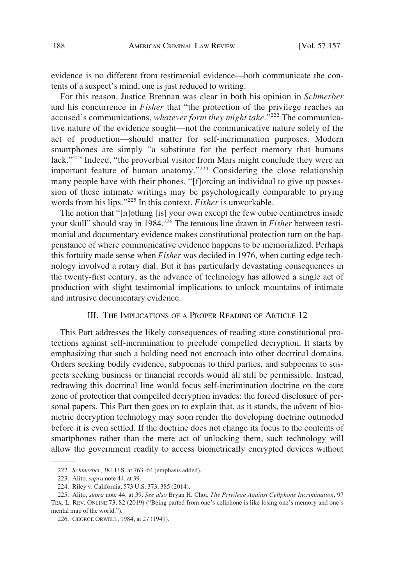evidence is no different from testimonial evidence—both communicate the contents of a suspect's mind, one is just reduced to writing.

For this reason, Justice Brennan was clear in both his opinion in *Schmerber*  and his concurrence in *Fisher* that "the protection of the privilege reaches an accused's communications, *whatever form they might take*."<sup>222</sup> The communicative nature of the evidence sought—not the communicative nature solely of the act of production—should matter for self-incrimination purposes. Modern smartphones are simply "a substitute for the perfect memory that humans lack."223 Indeed, "the proverbial visitor from Mars might conclude they were an important feature of human anatomy."224 Considering the close relationship many people have with their phones, "[f]orcing an individual to give up possession of these intimate writings may be psychologically comparable to prying words from his lips."225 In this context, *Fisher* is unworkable.

The notion that "[n]othing [is] your own except the few cubic centimetres inside your skull" should stay in 1984.226 The tenuous line drawn in *Fisher* between testimonial and documentary evidence makes constitutional protection turn on the happenstance of where communicative evidence happens to be memorialized. Perhaps this fortuity made sense when *Fisher* was decided in 1976, when cutting edge technology involved a rotary dial. But it has particularly devastating consequences in the twenty-first century, as the advance of technology has allowed a single act of production with slight testimonial implications to unlock mountains of intimate and intrusive documentary evidence.

## III. THE IMPLICATIONS OF A PROPER READING OF ARTICLE 12

This Part addresses the likely consequences of reading state constitutional protections against self-incrimination to preclude compelled decryption. It starts by emphasizing that such a holding need not encroach into other doctrinal domains. Orders seeking bodily evidence, subpoenas to third parties, and subpoenas to suspects seeking business or financial records would all still be permissible. Instead, redrawing this doctrinal line would focus self-incrimination doctrine on the core zone of protection that compelled decryption invades: the forced disclosure of personal papers. This Part then goes on to explain that, as it stands, the advent of biometric decryption technology may soon render the developing doctrine outmoded before it is even settled. If the doctrine does not change its focus to the contents of smartphones rather than the mere act of unlocking them, such technology will allow the government readily to access biometrically encrypted devices without

<sup>222.</sup> *Schmerber*, 384 U.S. at 763–64 (emphasis added).

<sup>223.</sup> Alito, *supra* note 44, at 39.

<sup>224.</sup> Riley v. California, 573 U.S. 373, 385 (2014).

<sup>225.</sup> Alito, *supra* note 44, at 39. *See also* Bryan H. Choi, *The Privilege Against Cellphone Incrimination*, 97 TEX. L. REV. ONLINE 73, 82 (2019) ("Being parted from one's cellphone is like losing one's memory and one's mental map of the world.").

<sup>226.</sup> GEORGE ORWELL, 1984, at 27 (1949).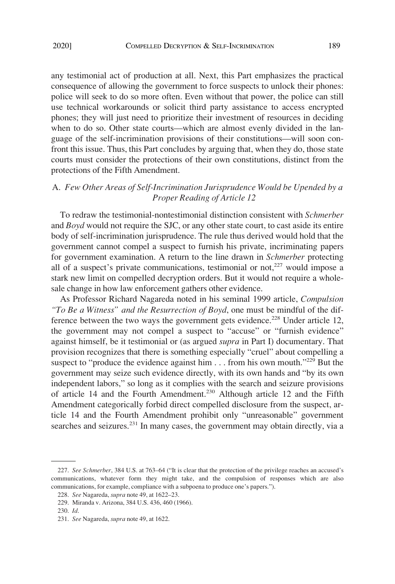any testimonial act of production at all. Next, this Part emphasizes the practical consequence of allowing the government to force suspects to unlock their phones: police will seek to do so more often. Even without that power, the police can still use technical workarounds or solicit third party assistance to access encrypted phones; they will just need to prioritize their investment of resources in deciding when to do so. Other state courts—which are almost evenly divided in the language of the self-incrimination provisions of their constitutions—will soon confront this issue. Thus, this Part concludes by arguing that, when they do, those state courts must consider the protections of their own constitutions, distinct from the protections of the Fifth Amendment.

## A. *Few Other Areas of Self-Incrimination Jurisprudence Would be Upended by a Proper Reading of Article 12*

To redraw the testimonial-nontestimonial distinction consistent with *Schmerber*  and *Boyd* would not require the SJC, or any other state court, to cast aside its entire body of self-incrimination jurisprudence. The rule thus derived would hold that the government cannot compel a suspect to furnish his private, incriminating papers for government examination. A return to the line drawn in *Schmerber* protecting all of a suspect's private communications, testimonial or not, $227$  would impose a stark new limit on compelled decryption orders. But it would not require a wholesale change in how law enforcement gathers other evidence.

As Professor Richard Nagareda noted in his seminal 1999 article, *Compulsion "To Be a Witness" and the Resurrection of Boyd*, one must be mindful of the difference between the two ways the government gets evidence.<sup>228</sup> Under article 12, the government may not compel a suspect to "accuse" or "furnish evidence" against himself, be it testimonial or (as argued *supra* in Part I) documentary. That provision recognizes that there is something especially "cruel" about compelling a suspect to "produce the evidence against him  $\ldots$  from his own mouth."<sup>229</sup> But the government may seize such evidence directly, with its own hands and "by its own independent labors," so long as it complies with the search and seizure provisions of article 14 and the Fourth Amendment.230 Although article 12 and the Fifth Amendment categorically forbid direct compelled disclosure from the suspect, article 14 and the Fourth Amendment prohibit only "unreasonable" government searches and seizures.<sup>231</sup> In many cases, the government may obtain directly, via a

<sup>227.</sup> *See Schmerber*, 384 U.S. at 763–64 ("It is clear that the protection of the privilege reaches an accused's communications, whatever form they might take, and the compulsion of responses which are also communications, for example, compliance with a subpoena to produce one's papers.").

<sup>228.</sup> *See* Nagareda, *supra* note 49, at 1622–23.

<sup>229.</sup> Miranda v. Arizona, 384 U.S. 436, 460 (1966).

<sup>230.</sup> *Id*.

<sup>231.</sup> *See* Nagareda, *supra* note 49, at 1622.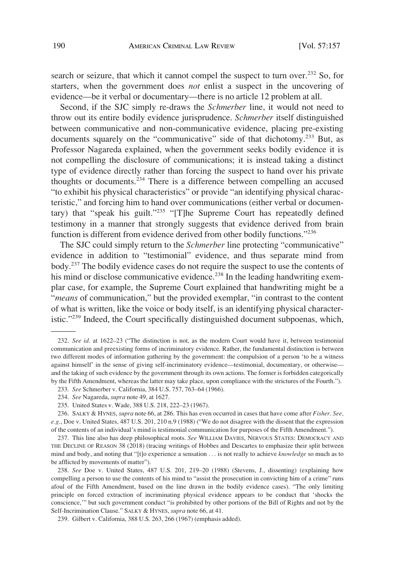search or seizure, that which it cannot compel the suspect to turn over.<sup>232</sup> So, for starters, when the government does *not* enlist a suspect in the uncovering of evidence—be it verbal or documentary—there is no article 12 problem at all.

Second, if the SJC simply re-draws the *Schmerber* line, it would not need to throw out its entire bodily evidence jurisprudence. *Schmerber* itself distinguished between communicative and non-communicative evidence, placing pre-existing documents squarely on the "communicative" side of that dichotomy.<sup>233</sup> But, as Professor Nagareda explained, when the government seeks bodily evidence it is not compelling the disclosure of communications; it is instead taking a distinct type of evidence directly rather than forcing the suspect to hand over his private thoughts or documents.234 There is a difference between compelling an accused "to exhibit his physical characteristics" or provide "an identifying physical characteristic," and forcing him to hand over communications (either verbal or documentary) that "speak his guilt."235 "[T]he Supreme Court has repeatedly defined testimony in a manner that strongly suggests that evidence derived from brain function is different from evidence derived from other bodily functions."<sup>236</sup>

The SJC could simply return to the *Schmerber* line protecting "communicative" evidence in addition to "testimonial" evidence, and thus separate mind from body.237 The bodily evidence cases do not require the suspect to use the contents of his mind or disclose communicative evidence.<sup>238</sup> In the leading handwriting exemplar case, for example, the Supreme Court explained that handwriting might be a "*means* of communication," but the provided exemplar, "in contrast to the content of what is written, like the voice or body itself, is an identifying physical characteristic."239 Indeed, the Court specifically distinguished document subpoenas, which,

<sup>232.</sup> *See id*. at 1622–23 ("The distinction is not, as the modern Court would have it, between testimonial communication and preexisting forms of incriminatory evidence. Rather, the fundamental distinction is between two different modes of information gathering by the government: the compulsion of a person 'to be a witness against himself' in the sense of giving self-incriminatory evidence—testimonial, documentary, or otherwise and the taking of such evidence by the government through its own actions. The former is forbidden categorically by the Fifth Amendment, whereas the latter may take place, upon compliance with the strictures of the Fourth.").

<sup>233.</sup> *See* Schmerber v. California, 384 U.S. 757, 763–64 (1966).

<sup>234.</sup> *See* Nagareda, *supra* note 49, at 1627.

<sup>235.</sup> United States v. Wade, 388 U.S. 218, 222–23 (1967).

<sup>236.</sup> SALKY & HYNES, *supra* note 66, at 286. This has even occurred in cases that have come after *Fisher*. *See, e.g*., Doe v. United States, 487 U.S. 201, 210 n.9 (1988) ("We do not disagree with the dissent that the expression of the contents of an individual's mind is testimonial communication for purposes of the Fifth Amendment.").

<sup>237.</sup> This line also has deep philosophical roots. *See* WILLIAM DAVIES, NERVOUS STATES: DEMOCRACY AND THE DECLINE OF REASON 38 (2018) (tracing writings of Hobbes and Descartes to emphasize their split between mind and body, and noting that "[t]o experience a sensation . . . is not really to achieve *knowledge* so much as to be afflicted by movements of matter").

<sup>238.</sup> *See* Doe v. United States, 487 U.S. 201, 219–20 (1988) (Stevens, J., dissenting) (explaining how compelling a person to use the contents of his mind to "assist the prosecution in convicting him of a crime" runs afoul of the Fifth Amendment, based on the line drawn in the bodily evidence cases). "The only limiting principle on forced extraction of incriminating physical evidence appears to be conduct that 'shocks the conscience,'" but such government conduct "is prohibited by other portions of the Bill of Rights and not by the Self-Incrimination Clause." SALKY & HYNES, *supra* note 66, at 41.

<sup>239.</sup> Gilbert v. California, 388 U.S. 263, 266 (1967) (emphasis added).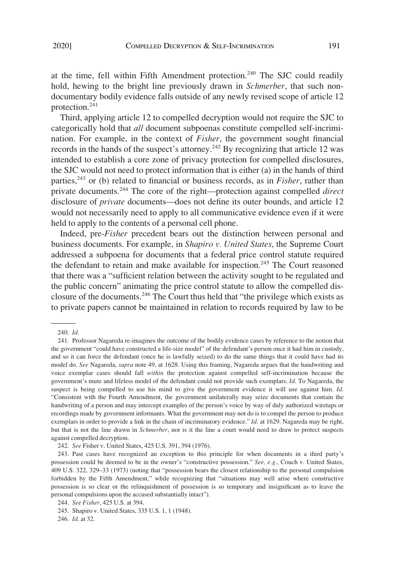at the time, fell within Fifth Amendment protection.<sup>240</sup> The SJC could readily hold, hewing to the bright line previously drawn in *Schmerber*, that such nondocumentary bodily evidence falls outside of any newly revised scope of article 12 protection.<sup>241</sup>

Third, applying article 12 to compelled decryption would not require the SJC to categorically hold that *all* document subpoenas constitute compelled self-incrimination. For example, in the context of *Fisher*, the government sought financial records in the hands of the suspect's attorney.242 By recognizing that article 12 was intended to establish a core zone of privacy protection for compelled disclosures, the SJC would not need to protect information that is either (a) in the hands of third parties,<sup>243</sup> or (b) related to financial or business records, as in *Fisher*, rather than private documents.244 The core of the right—protection against compelled *direct*  disclosure of *private* documents—does not define its outer bounds, and article 12 would not necessarily need to apply to all communicative evidence even if it were held to apply to the contents of a personal cell phone.

Indeed, pre-*Fisher* precedent bears out the distinction between personal and business documents. For example, in *Shapiro v. United States*, the Supreme Court addressed a subpoena for documents that a federal price control statute required the defendant to retain and make available for inspection.<sup>245</sup> The Court reasoned that there was a "sufficient relation between the activity sought to be regulated and the public concern" animating the price control statute to allow the compelled disclosure of the documents.246 The Court thus held that "the privilege which exists as to private papers cannot be maintained in relation to records required by law to be

<sup>240.</sup> *Id*.

<sup>241.</sup> Professor Nagareda re-imagines the outcome of the bodily evidence cases by reference to the notion that the government "could have constructed a life-size model" of the defendant's person once it had him in custody, and so it can force the defendant (once he is lawfully seized) to do the same things that it could have had its model do. *See* Nagareda, *supra* note 49, at 1628. Using this framing, Nagareda argues that the handwriting and voice exemplar cases should fall *within* the protection against compelled self-incrimination because the government's mute and lifeless model of the defendant could not provide such exemplars. *Id*. To Nagareda, the suspect is being compelled to use his mind to give the government evidence it will use against him. *Id*. "Consistent with the Fourth Amendment, the government unilaterally may seize documents that contain the handwriting of a person and may intercept examples of the person's voice by way of duly authorized wiretaps or recordings made by government informants. What the government may not do is to compel the person to produce exemplars in order to provide a link in the chain of incriminatory evidence." *Id*. at 1629. Nagareda may be right, but that is not the line drawn in *Schmerber*, nor is it the line a court would need to draw to protect suspects against compelled decryption.

<sup>242.</sup> *See* Fisher v. United States, 425 U.S. 391, 394 (1976).

<sup>243.</sup> Past cases have recognized an exception to this principle for when documents in a third party's possession could be deemed to be in the owner's "constructive possession." *See, e.g*., Couch v. United States, 409 U.S. 322, 329–33 (1973) (noting that "possession bears the closest relationship to the personal compulsion forbidden by the Fifth Amendment," while recognizing that "situations may well arise where constructive possession is so clear or the relinquishment of possession is so temporary and insignificant as to leave the personal compulsions upon the accused substantially intact").

<sup>244.</sup> *See Fisher*, 425 U.S. at 394.

<sup>245.</sup> Shapiro v. United States, 335 U.S. 1, 1 (1948).

<sup>246.</sup> *Id*. at 32.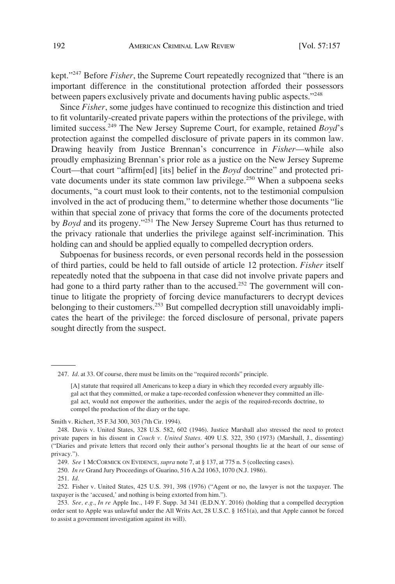kept."247 Before *Fisher*, the Supreme Court repeatedly recognized that "there is an important difference in the constitutional protection afforded their possessors between papers exclusively private and documents having public aspects."248

Since *Fisher*, some judges have continued to recognize this distinction and tried to fit voluntarily-created private papers within the protections of the privilege, with limited success.249 The New Jersey Supreme Court, for example, retained *Boyd*'s protection against the compelled disclosure of private papers in its common law. Drawing heavily from Justice Brennan's concurrence in *Fisher*—while also proudly emphasizing Brennan's prior role as a justice on the New Jersey Supreme Court—that court "affirm[ed] [its] belief in the *Boyd* doctrine" and protected private documents under its state common law privilege.<sup>250</sup> When a subpoena seeks documents, "a court must look to their contents, not to the testimonial compulsion involved in the act of producing them," to determine whether those documents "lie within that special zone of privacy that forms the core of the documents protected by *Boyd* and its progeny."251 The New Jersey Supreme Court has thus returned to the privacy rationale that underlies the privilege against self-incrimination. This holding can and should be applied equally to compelled decryption orders.

Subpoenas for business records, or even personal records held in the possession of third parties, could be held to fall outside of article 12 protection. *Fisher* itself repeatedly noted that the subpoena in that case did not involve private papers and had gone to a third party rather than to the accused.<sup>252</sup> The government will continue to litigate the propriety of forcing device manufacturers to decrypt devices belonging to their customers.<sup>253</sup> But compelled decryption still unavoidably implicates the heart of the privilege: the forced disclosure of personal, private papers sought directly from the suspect.

247. *Id*. at 33. Of course, there must be limits on the "required records" principle.

Smith v. Richert, 35 F.3d 300, 303 (7th Cir. 1994).

249. *See* 1 MCCORMICK ON EVIDENCE, *supra* note 7, at § 137, at 775 n. 5 (collecting cases).

250. *In re* Grand Jury Proceedings of Guarino, 516 A.2d 1063, 1070 (N.J. 1986).

251. *Id*.

252. Fisher v. United States, 425 U.S. 391, 398 (1976) ("Agent or no, the lawyer is not the taxpayer. The taxpayer is the 'accused,' and nothing is being extorted from him.").

253. *See, e.g.*, *In re* Apple Inc., 149 F. Supp. 3d 341 (E.D.N.Y. 2016) (holding that a compelled decryption order sent to Apple was unlawful under the All Writs Act, 28 U.S.C. § 1651(a), and that Apple cannot be forced to assist a government investigation against its will).

<sup>[</sup>A] statute that required all Americans to keep a diary in which they recorded every arguably illegal act that they committed, or make a tape-recorded confession whenever they committed an illegal act, would not empower the authorities, under the aegis of the required-records doctrine, to compel the production of the diary or the tape.

<sup>248.</sup> Davis v. United States, 328 U.S. 582, 602 (1946). Justice Marshall also stressed the need to protect private papers in his dissent in *Couch v. United States*. 409 U.S. 322, 350 (1973) (Marshall, J., dissenting) ("Diaries and private letters that record only their author's personal thoughts lie at the heart of our sense of privacy.").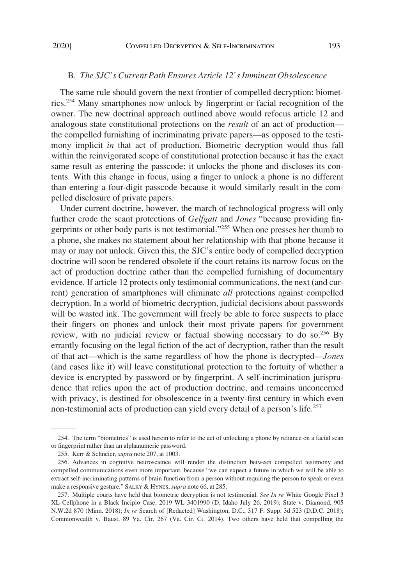### B. *The SJC's Current Path Ensures Article 12's Imminent Obsolescence*

The same rule should govern the next frontier of compelled decryption: biometrics.254 Many smartphones now unlock by fingerprint or facial recognition of the owner. The new doctrinal approach outlined above would refocus article 12 and analogous state constitutional protections on the *result* of an act of production the compelled furnishing of incriminating private papers—as opposed to the testimony implicit *in* that act of production. Biometric decryption would thus fall within the reinvigorated scope of constitutional protection because it has the exact same result as entering the passcode: it unlocks the phone and discloses its contents. With this change in focus, using a finger to unlock a phone is no different than entering a four-digit passcode because it would similarly result in the compelled disclosure of private papers.

Under current doctrine, however, the march of technological progress will only further erode the scant protections of *Gelfgatt* and *Jones* "because providing fingerprints or other body parts is not testimonial."255 When one presses her thumb to a phone, she makes no statement about her relationship with that phone because it may or may not unlock. Given this, the SJC's entire body of compelled decryption doctrine will soon be rendered obsolete if the court retains its narrow focus on the act of production doctrine rather than the compelled furnishing of documentary evidence. If article 12 protects only testimonial communications, the next (and current) generation of smartphones will eliminate *all* protections against compelled decryption. In a world of biometric decryption, judicial decisions about passwords will be wasted ink. The government will freely be able to force suspects to place their fingers on phones and unlock their most private papers for government review, with no judicial review or factual showing necessary to do so.<sup>256</sup> By errantly focusing on the legal fiction of the act of decryption, rather than the result of that act—which is the same regardless of how the phone is decrypted—*Jones*  (and cases like it) will leave constitutional protection to the fortuity of whether a device is encrypted by password or by fingerprint. A self-incrimination jurisprudence that relies upon the act of production doctrine, and remains unconcerned with privacy, is destined for obsolescence in a twenty-first century in which even non-testimonial acts of production can yield every detail of a person's life.257

<sup>254.</sup> The term "biometrics" is used herein to refer to the act of unlocking a phone by reliance on a facial scan or fingerprint rather than an alphanumeric password.

<sup>255.</sup> Kerr & Schneier, *supra* note 207, at 1003.

<sup>256.</sup> Advances in cognitive neuroscience will render the distinction between compelled testimony and compelled communications even more important, because "we can expect a future in which we will be able to extract self-incriminating patterns of brain function from a person without requiring the person to speak or even make a responsive gesture." SALKY & HYNES, *supra* note 66, at 285.

<sup>257.</sup> Multiple courts have held that biometric decryption is not testimonial. *See In re* White Google Pixel 3 XL Cellphone in a Black Incipio Case, 2019 WL 3401990 (D. Idaho July 26, 2019); State v. Diamond, 905 N.W.2d 870 (Minn. 2018); *In re* Search of [Redacted] Washington, D.C., 317 F. Supp. 3d 523 (D.D.C. 2018); Commonwealth v. Baust, 89 Va. Cir. 267 (Va. Cir. Ct. 2014). Two others have held that compelling the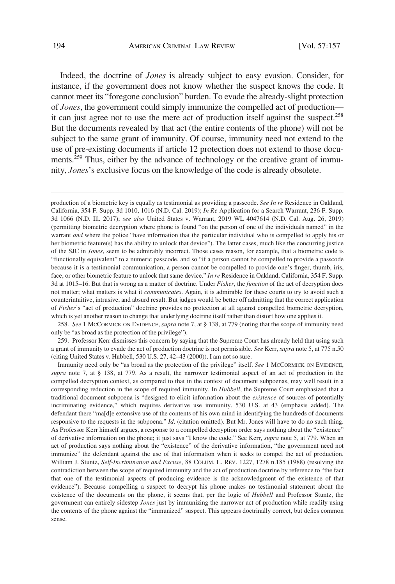Indeed, the doctrine of *Jones* is already subject to easy evasion. Consider, for instance, if the government does not know whether the suspect knows the code. It cannot meet its "foregone conclusion" burden. To evade the already-slight protection of *Jones*, the government could simply immunize the compelled act of production it can just agree not to use the mere act of production itself against the suspect.<sup>258</sup> But the documents revealed by that act (the entire contents of the phone) will not be subject to the same grant of immunity. Of course, immunity need not extend to the use of pre-existing documents if article 12 protection does not extend to those documents.<sup>259</sup> Thus, either by the advance of technology or the creative grant of immunity, *Jones*'s exclusive focus on the knowledge of the code is already obsolete.

258. *See* 1 MCCORMICK ON EVIDENCE, *supra* note 7, at § 138, at 779 (noting that the scope of immunity need only be "as broad as the protection of the privilege").

259. Professor Kerr dismisses this concern by saying that the Supreme Court has already held that using such a grant of immunity to evade the act of production doctrine is not permissible. *See* Kerr, *supra* note 5, at 775 n.50 (citing United States v. Hubbell, 530 U.S. 27, 42–43 (2000)). I am not so sure.

production of a biometric key is equally as testimonial as providing a passcode. *See In re* Residence in Oakland, California, 354 F. Supp. 3d 1010, 1016 (N.D. Cal. 2019); *In Re* Application for a Search Warrant, 236 F. Supp. 3d 1066 (N.D. Ill. 2017); *see also* United States v. Warrant, 2019 WL 4047614 (N.D. Cal. Aug. 26, 2019) (permitting biometric decryption where phone is found "on the person of one of the individuals named" in the warrant *and* where the police "have information that the particular individual who is compelled to apply his or her biometric feature(s) has the ability to unlock that device"). The latter cases, much like the concurring justice of the SJC in *Jones*, seem to be admirably incorrect. Those cases reason, for example, that a biometric code is "functionally equivalent" to a numeric passcode, and so "if a person cannot be compelled to provide a passcode because it is a testimonial communication, a person cannot be compelled to provide one's finger, thumb, iris, face, or other biometric feature to unlock that same device." *In re* Residence in Oakland, California, 354 F. Supp. 3d at 1015–16. But that is wrong as a matter of doctrine. Under *Fisher*, the *function* of the act of decryption does not matter; what matters is what it *communicates*. Again, it is admirable for these courts to try to avoid such a counterintuitive, intrusive, and absurd result. But judges would be better off admitting that the correct application of *Fisher*'s "act of production" doctrine provides no protection at all against compelled biometric decryption, which is yet another reason to change that underlying doctrine itself rather than distort how one applies it.

Immunity need only be "as broad as the protection of the privilege" itself. *See* 1 MCCORMICK ON EVIDENCE, *supra* note 7, at § 138, at 779. As a result, the narrower testimonial aspect of an act of production in the compelled decryption context, as compared to that in the context of document subpoenas, may well result in a corresponding reduction in the scope of required immunity. In *Hubbell*, the Supreme Court emphasized that a traditional document subpoena is "designed to elicit information about the *existence* of sources of potentially incriminating evidence," which requires derivative use immunity. 530 U.S. at 43 (emphasis added). The defendant there "ma[d]e extensive use of the contents of his own mind in identifying the hundreds of documents responsive to the requests in the subpoena." *Id*. (citation omitted). But Mr. Jones will have to do no such thing. As Professor Kerr himself argues, a response to a compelled decryption order says nothing about the "existence" of derivative information on the phone; it just says "I know the code." See Kerr, *supra* note 5, at 779. When an act of production says nothing about the "existence" of the derivative information, "the government need not immunize" the defendant against the use of that information when it seeks to compel the act of production. William J. Stuntz, *Self-Incrimination and Excuse*, 88 COLUM. L. REV. 1227, 1278 n.185 (1988) (resolving the contradiction between the scope of required immunity and the act of production doctrine by reference to "the fact that one of the testimonial aspects of producing evidence is the acknowledgment of the existence of that evidence"). Because compelling a suspect to decrypt his phone makes no testimonial statement about the existence of the documents on the phone, it seems that, per the logic of *Hubbell* and Professor Stuntz, the government can entirely sidestep *Jones* just by immunizing the narrower act of production while readily using the contents of the phone against the "immunized" suspect. This appears doctrinally correct, but defies common sense.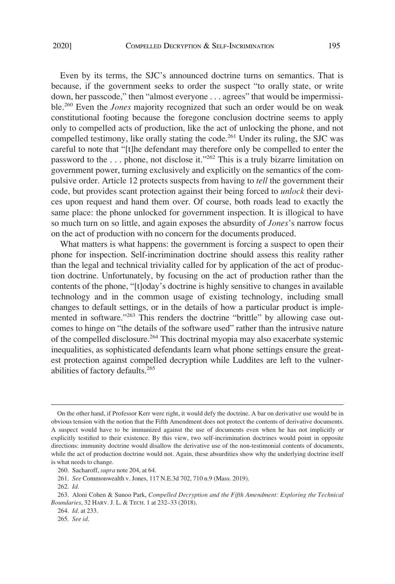Even by its terms, the SJC's announced doctrine turns on semantics. That is because, if the government seeks to order the suspect "to orally state, or write down, her passcode," then "almost everyone . . . agrees" that would be impermissible.260 Even the *Jones* majority recognized that such an order would be on weak constitutional footing because the foregone conclusion doctrine seems to apply only to compelled acts of production, like the act of unlocking the phone, and not compelled testimony, like orally stating the code.<sup>261</sup> Under its ruling, the SJC was careful to note that "[t]he defendant may therefore only be compelled to enter the password to the . . . phone, not disclose it."262 This is a truly bizarre limitation on government power, turning exclusively and explicitly on the semantics of the compulsive order. Article 12 protects suspects from having to *tell* the government their code, but provides scant protection against their being forced to *unlock* their devices upon request and hand them over. Of course, both roads lead to exactly the same place: the phone unlocked for government inspection. It is illogical to have so much turn on so little, and again exposes the absurdity of *Jones*'s narrow focus on the act of production with no concern for the documents produced.

What matters is what happens: the government is forcing a suspect to open their phone for inspection. Self-incrimination doctrine should assess this reality rather than the legal and technical triviality called for by application of the act of production doctrine. Unfortunately, by focusing on the act of production rather than the contents of the phone, "[t]oday's doctrine is highly sensitive to changes in available technology and in the common usage of existing technology, including small changes to default settings, or in the details of how a particular product is implemented in software."<sup>263</sup> This renders the doctrine "brittle" by allowing case outcomes to hinge on "the details of the software used" rather than the intrusive nature of the compelled disclosure.264 This doctrinal myopia may also exacerbate systemic inequalities, as sophisticated defendants learn what phone settings ensure the greatest protection against compelled decryption while Luddites are left to the vulnerabilities of factory defaults.265

On the other hand, if Professor Kerr were right, it would defy the doctrine. A bar on derivative use would be in obvious tension with the notion that the Fifth Amendment does not protect the contents of derivative documents. A suspect would have to be immunized against the use of documents even when he has not implicitly or explicitly testified to their existence. By this view, two self-incrimination doctrines would point in opposite directions: immunity doctrine would disallow the derivative use of the non-testimonial contents of documents, while the act of production doctrine would not. Again, these absurdities show why the underlying doctrine itself is what needs to change.

<sup>260.</sup> Sacharoff, *supra* note 204, at 64.

<sup>261.</sup> *See* Commonwealth v. Jones, 117 N.E.3d 702, 710 n.9 (Mass. 2019).

<sup>262.</sup> *Id*.

<sup>263.</sup> Aloni Cohen & Sunoo Park, *Compelled Decryption and the Fifth Amendment: Exploring the Technical Boundaries*, 32 HARV. J. L. & TECH. 1 at 232–33 (2018).

<sup>264.</sup> *Id*. at 233.

<sup>265.</sup> *See id*.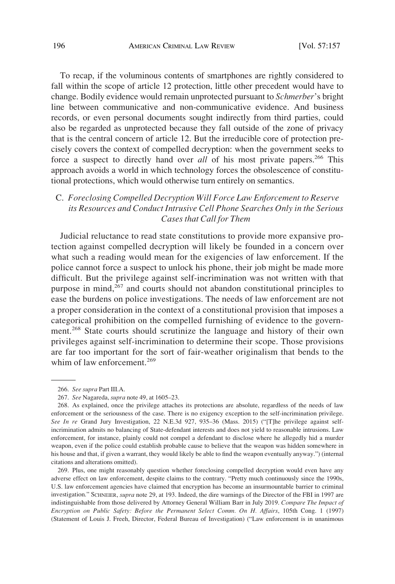To recap, if the voluminous contents of smartphones are rightly considered to fall within the scope of article 12 protection, little other precedent would have to change. Bodily evidence would remain unprotected pursuant to *Schmerber*'s bright line between communicative and non-communicative evidence. And business records, or even personal documents sought indirectly from third parties, could also be regarded as unprotected because they fall outside of the zone of privacy that is the central concern of article 12. But the irreducible core of protection precisely covers the context of compelled decryption: when the government seeks to force a suspect to directly hand over *all* of his most private papers.<sup>266</sup> This approach avoids a world in which technology forces the obsolescence of constitutional protections, which would otherwise turn entirely on semantics.

# C. *Foreclosing Compelled Decryption Will Force Law Enforcement to Reserve its Resources and Conduct Intrusive Cell Phone Searches Only in the Serious Cases that Call for Them*

Judicial reluctance to read state constitutions to provide more expansive protection against compelled decryption will likely be founded in a concern over what such a reading would mean for the exigencies of law enforcement. If the police cannot force a suspect to unlock his phone, their job might be made more difficult. But the privilege against self-incrimination was not written with that purpose in mind, $267$  and courts should not abandon constitutional principles to ease the burdens on police investigations. The needs of law enforcement are not a proper consideration in the context of a constitutional provision that imposes a categorical prohibition on the compelled furnishing of evidence to the government.268 State courts should scrutinize the language and history of their own privileges against self-incrimination to determine their scope. Those provisions are far too important for the sort of fair-weather originalism that bends to the whim of law enforcement.<sup>269</sup>

<sup>266.</sup> *See supra* Part III.A.

<sup>267.</sup> *See* Nagareda, *supra* note 49, at 1605–23.

<sup>268.</sup> As explained, once the privilege attaches its protections are absolute, regardless of the needs of law enforcement or the seriousness of the case. There is no exigency exception to the self-incrimination privilege. *See In re* Grand Jury Investigation, 22 N.E.3d 927, 935–36 (Mass. 2015) ("[T]he privilege against selfincrimination admits no balancing of State-defendant interests and does not yield to reasonable intrusions. Law enforcement, for instance, plainly could not compel a defendant to disclose where he allegedly hid a murder weapon, even if the police could establish probable cause to believe that the weapon was hidden somewhere in his house and that, if given a warrant, they would likely be able to find the weapon eventually anyway.") (internal citations and alterations omitted).

<sup>269.</sup> Plus, one might reasonably question whether foreclosing compelled decryption would even have any adverse effect on law enforcement, despite claims to the contrary. "Pretty much continuously since the 1990s, U.S. law enforcement agencies have claimed that encryption has become an insurmountable barrier to criminal investigation." SCHNEIER, *supra* note 29, at 193. Indeed, the dire warnings of the Director of the FBI in 1997 are indistinguishable from those delivered by Attorney General William Barr in July 2019. *Compare The Impact of Encryption on Public Safety: Before the Permanent Select Comm. On H. Affairs*, 105th Cong. 1 (1997) (Statement of Louis J. Freeh, Director, Federal Bureau of Investigation) ("Law enforcement is in unanimous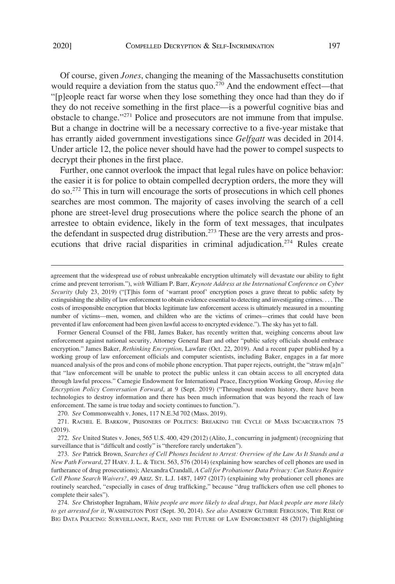Of course, given *Jones*, changing the meaning of the Massachusetts constitution would require a deviation from the status quo.<sup>270</sup> And the endowment effect—that "[p]eople react far worse when they lose something they once had than they do if they do not receive something in the first place—is a powerful cognitive bias and obstacle to change."271 Police and prosecutors are not immune from that impulse. But a change in doctrine will be a necessary corrective to a five-year mistake that has errantly aided government investigations since *Gelfgatt* was decided in 2014. Under article 12, the police never should have had the power to compel suspects to decrypt their phones in the first place.

Further, one cannot overlook the impact that legal rules have on police behavior: the easier it is for police to obtain compelled decryption orders, the more they will do so.272 This in turn will encourage the sorts of prosecutions in which cell phones searches are most common. The majority of cases involving the search of a cell phone are street-level drug prosecutions where the police search the phone of an arrestee to obtain evidence, likely in the form of text messages, that inculpates the defendant in suspected drug distribution.<sup>273</sup> These are the very arrests and prosecutions that drive racial disparities in criminal adjudication.<sup>274</sup> Rules create

Former General Counsel of the FBI, James Baker, has recently written that, weighing concerns about law enforcement against national security, Attorney General Barr and other "public safety officials should embrace encryption." James Baker, *Rethinking Encryption*, Lawfare (Oct. 22, 2019). And a recent paper published by a working group of law enforcement officials and computer scientists, including Baker, engages in a far more nuanced analysis of the pros and cons of mobile phone encryption. That paper rejects, outright, the "straw m[a]n" that "law enforcement will be unable to protect the public unless it can obtain access to all encrypted data through lawful process." Carnegie Endowment for International Peace, Encryption Working Group, *Moving the Encryption Policy Conversation Forward*, at 9 (Sept. 2019) ("Throughout modern history, there have been technologies to destroy information and there has been much information that was beyond the reach of law enforcement. The same is true today and society continues to function.").

270. *See* Commonwealth v. Jones, 117 N.E.3d 702 (Mass. 2019).

272. *See* United States v. Jones, 565 U.S. 400, 429 (2012) (Alito, J., concurring in judgment) (recognizing that surveillance that is "difficult and costly" is "therefore rarely undertaken").

273. *See* Patrick Brown, *Searches of Cell Phones Incident to Arrest: Overview of the Law As It Stands and a New Path Forward*, 27 HARV. J. L. & TECH. 563, 576 (2014) (explaining how searches of cell phones are used in furtherance of drug prosecutions); Alexandra Crandall, *A Call for Probationer Data Privacy: Can States Require Cell Phone Search Waivers?*, 49 ARIZ. ST. L.J. 1487, 1497 (2017) (explaining why probationer cell phones are routinely searched, "especially in cases of drug trafficking," because "drug traffickers often use cell phones to complete their sales").

274. *See* Christopher Ingraham, *White people are more likely to deal drugs, but black people are more likely to get arrested for it*, WASHINGTON POST (Sept. 30, 2014). *See also* ANDREW GUTHRIE FERGUSON, THE RISE OF BIG DATA POLICING: SURVEILLANCE, RACE, AND THE FUTURE OF LAW ENFORCEMENT 48 (2017) (highlighting

agreement that the widespread use of robust unbreakable encryption ultimately will devastate our ability to fight crime and prevent terrorism."), *with* William P. Barr, *Keynote Address at the International Conference on Cyber Security* (July 23, 2019) ("[T]his form of 'warrant proof' encryption poses a grave threat to public safety by extinguishing the ability of law enforcement to obtain evidence essential to detecting and investigating crimes. . . . The costs of irresponsible encryption that blocks legitimate law enforcement access is ultimately measured in a mounting number of victims—men, women, and children who are the victims of crimes—crimes that could have been prevented if law enforcement had been given lawful access to encrypted evidence."). The sky has yet to fall.

<sup>271.</sup> RACHEL E. BARKOW, PRISONERS OF POLITICS: BREAKING THE CYCLE OF MASS INCARCERATION 75 (2019).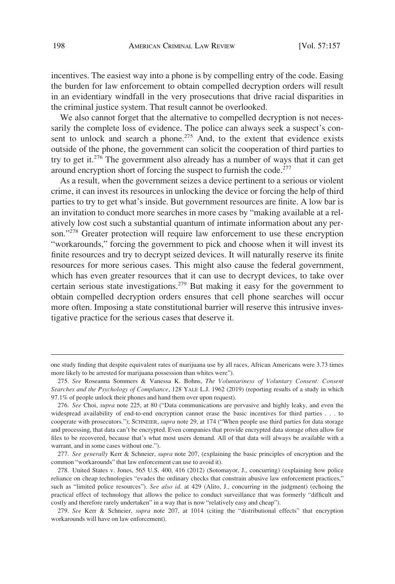incentives. The easiest way into a phone is by compelling entry of the code. Easing the burden for law enforcement to obtain compelled decryption orders will result in an evidentiary windfall in the very prosecutions that drive racial disparities in the criminal justice system. That result cannot be overlooked.

We also cannot forget that the alternative to compelled decryption is not necessarily the complete loss of evidence. The police can always seek a suspect's consent to unlock and search a phone.<sup>275</sup> And, to the extent that evidence exists outside of the phone, the government can solicit the cooperation of third parties to try to get it.<sup>276</sup> The government also already has a number of ways that it can get around encryption short of forcing the suspect to furnish the code.<sup>277</sup>

As a result, when the government seizes a device pertinent to a serious or violent crime, it can invest its resources in unlocking the device or forcing the help of third parties to try to get what's inside. But government resources are finite. A low bar is an invitation to conduct more searches in more cases by "making available at a relatively low cost such a substantial quantum of intimate information about any person."<sup>278</sup> Greater protection will require law enforcement to use these encryption "workarounds," forcing the government to pick and choose when it will invest its finite resources and try to decrypt seized devices. It will naturally reserve its finite resources for more serious cases. This might also cause the federal government, which has even greater resources that it can use to decrypt devices, to take over certain serious state investigations.<sup>279</sup> But making it easy for the government to obtain compelled decryption orders ensures that cell phone searches will occur more often. Imposing a state constitutional barrier will reserve this intrusive investigative practice for the serious cases that deserve it.

one study finding that despite equivalent rates of marijuana use by all races, African Americans were 3.73 times more likely to be arrested for marijuana possession than whites were").

<sup>275.</sup> *See* Roseanna Sommers & Vanessa K. Bohns, *The Voluntariness of Voluntary Consent: Consent Searches and the Psychology of Compliance*, 128 YALE L.J. 1962 (2019) (reporting results of a study in which 97.1% of people unlock their phones and hand them over upon request).

<sup>276.</sup> *See* Choi, *supra* note 225, at 80 ("Data communications are pervasive and highly leaky, and even the widespread availability of end-to-end encryption cannot erase the basic incentives for third parties . . . to cooperate with prosecutors."); SCHNEIER, *supra* note 29, at 174 ("When people use third parties for data storage and processing, that data can't be encrypted. Even companies that provide encrypted data storage often allow for files to be recovered, because that's what most users demand. All of that data will always be available with a warrant, and in some cases without one.").

<sup>277.</sup> *See generally* Kerr & Schneier, *supra* note 207, (explaining the basic principles of encryption and the common "workarounds" that law enforcement can use to avoid it).

<sup>278.</sup> United States v. Jones, 565 U.S. 400, 416 (2012) (Sotomayor, J., concurring) (explaining how police reliance on cheap technologies "evades the ordinary checks that constrain abusive law enforcement practices," such as "limited police resources"). *See also id*. at 429 (Alito, J., concurring in the judgment) (echoing the practical effect of technology that allows the police to conduct surveillance that was formerly "difficult and costly and therefore rarely undertaken" in a way that is now "relatively easy and cheap").

<sup>279.</sup> *See* Kerr & Schneier, *supra* note 207, at 1014 (citing the "distributional effects" that encryption workarounds will have on law enforcement).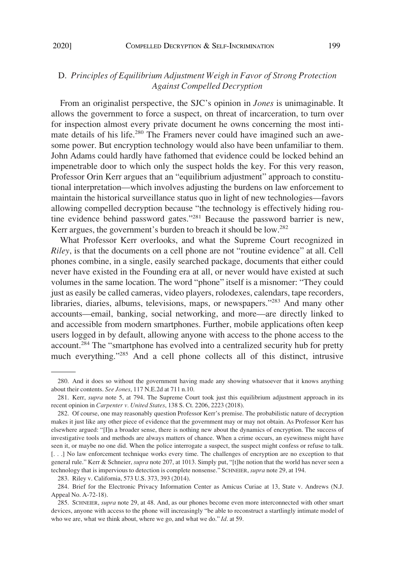# D. *Principles of Equilibrium Adjustment Weigh in Favor of Strong Protection Against Compelled Decryption*

From an originalist perspective, the SJC's opinion in *Jones* is unimaginable. It allows the government to force a suspect, on threat of incarceration, to turn over for inspection almost every private document he owns concerning the most intimate details of his life.280 The Framers never could have imagined such an awesome power. But encryption technology would also have been unfamiliar to them. John Adams could hardly have fathomed that evidence could be locked behind an impenetrable door to which only the suspect holds the key. For this very reason, Professor Orin Kerr argues that an "equilibrium adjustment" approach to constitutional interpretation—which involves adjusting the burdens on law enforcement to maintain the historical surveillance status quo in light of new technologies—favors allowing compelled decryption because "the technology is effectively hiding routine evidence behind password gates."281 Because the password barrier is new, Kerr argues, the government's burden to breach it should be low.<sup>282</sup>

What Professor Kerr overlooks, and what the Supreme Court recognized in *Riley*, is that the documents on a cell phone are not "routine evidence" at all. Cell phones combine, in a single, easily searched package, documents that either could never have existed in the Founding era at all, or never would have existed at such volumes in the same location. The word "phone" itself is a misnomer: "They could just as easily be called cameras, video players, rolodexes, calendars, tape recorders, libraries, diaries, albums, televisions, maps, or newspapers."283 And many other accounts—email, banking, social networking, and more—are directly linked to and accessible from modern smartphones. Further, mobile applications often keep users logged in by default, allowing anyone with access to the phone access to the account.284 The "smartphone has evolved into a centralized security hub for pretty much everything."<sup>285</sup> And a cell phone collects all of this distinct, intrusive

283. Riley v. California, 573 U.S. 373, 393 (2014).

<sup>280.</sup> And it does so without the government having made any showing whatsoever that it knows anything about their contents. *See Jones*, 117 N.E.2d at 711 n.10.

<sup>281.</sup> Kerr, *supra* note 5, at 794. The Supreme Court took just this equilibrium adjustment approach in its recent opinion in *Carpenter v. United States*, 138 S. Ct. 2206, 2223 (2018).

<sup>282.</sup> Of course, one may reasonably question Professor Kerr's premise. The probabilistic nature of decryption makes it just like any other piece of evidence that the government may or may not obtain. As Professor Kerr has elsewhere argued: "[I]n a broader sense, there is nothing new about the dynamics of encryption. The success of investigative tools and methods are always matters of chance. When a crime occurs, an eyewitness might have seen it, or maybe no one did. When the police interrogate a suspect, the suspect might confess or refuse to talk. [. . .] No law enforcement technique works every time. The challenges of encryption are no exception to that general rule." Kerr & Schneier, *supra* note 207, at 1013. Simply put, "[t]he notion that the world has never seen a technology that is impervious to detection is complete nonsense." SCHNEIER, *supra* note 29, at 194.

<sup>284.</sup> Brief for the Electronic Privacy Information Center as Amicus Curiae at 13, State v. Andrews (N.J. Appeal No. A-72-18).

<sup>285.</sup> SCHNEIER, *supra* note 29, at 48. And, as our phones become even more interconnected with other smart devices, anyone with access to the phone will increasingly "be able to reconstruct a startlingly intimate model of who we are, what we think about, where we go, and what we do." *Id*. at 59.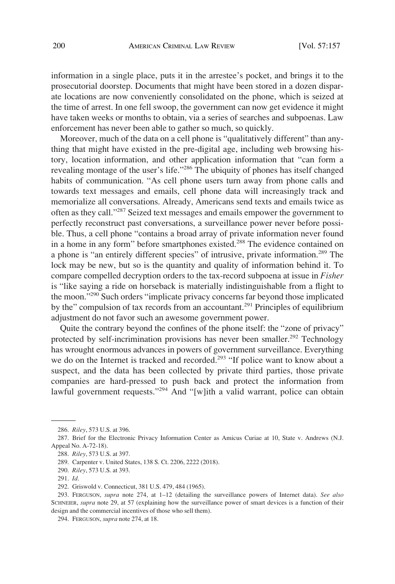information in a single place, puts it in the arrestee's pocket, and brings it to the prosecutorial doorstep. Documents that might have been stored in a dozen disparate locations are now conveniently consolidated on the phone, which is seized at the time of arrest. In one fell swoop, the government can now get evidence it might have taken weeks or months to obtain, via a series of searches and subpoenas. Law enforcement has never been able to gather so much, so quickly.

Moreover, much of the data on a cell phone is "qualitatively different" than anything that might have existed in the pre-digital age, including web browsing history, location information, and other application information that "can form a revealing montage of the user's life."286 The ubiquity of phones has itself changed habits of communication. "As cell phone users turn away from phone calls and towards text messages and emails, cell phone data will increasingly track and memorialize all conversations. Already, Americans send texts and emails twice as often as they call."287 Seized text messages and emails empower the government to perfectly reconstruct past conversations, a surveillance power never before possible. Thus, a cell phone "contains a broad array of private information never found in a home in any form" before smartphones existed.<sup>288</sup> The evidence contained on a phone is "an entirely different species" of intrusive, private information.<sup>289</sup> The lock may be new, but so is the quantity and quality of information behind it. To compare compelled decryption orders to the tax-record subpoena at issue in *Fisher*  is "like saying a ride on horseback is materially indistinguishable from a flight to the moon."290 Such orders "implicate privacy concerns far beyond those implicated by the" compulsion of tax records from an accountant.<sup>291</sup> Principles of equilibrium adjustment do not favor such an awesome government power.

Quite the contrary beyond the confines of the phone itself: the "zone of privacy" protected by self-incrimination provisions has never been smaller.<sup>292</sup> Technology has wrought enormous advances in powers of government surveillance. Everything we do on the Internet is tracked and recorded.<sup>293</sup> "If police want to know about a suspect, and the data has been collected by private third parties, those private companies are hard-pressed to push back and protect the information from lawful government requests."<sup>294</sup> And "[w]ith a valid warrant, police can obtain

<sup>286.</sup> *Riley*, 573 U.S. at 396.

<sup>287.</sup> Brief for the Electronic Privacy Information Center as Amicus Curiae at 10, State v. Andrews (N.J. Appeal No. A-72-18).

<sup>288.</sup> *Riley*, 573 U.S. at 397.

<sup>289.</sup> Carpenter v. United States, 138 S. Ct. 2206, 2222 (2018).

<sup>290.</sup> *Riley*, 573 U.S. at 393.

<sup>291.</sup> *Id*.

<sup>292.</sup> Griswold v. Connecticut, 381 U.S. 479, 484 (1965).

<sup>293.</sup> FERGUSON, *supra* note 274, at 1–12 (detailing the surveillance powers of Internet data). *See also*  SCHNEIER, *supra* note 29, at 57 (explaining how the surveillance power of smart devices is a function of their design and the commercial incentives of those who sell them).

<sup>294.</sup> FERGUSON, *supra* note 274, at 18.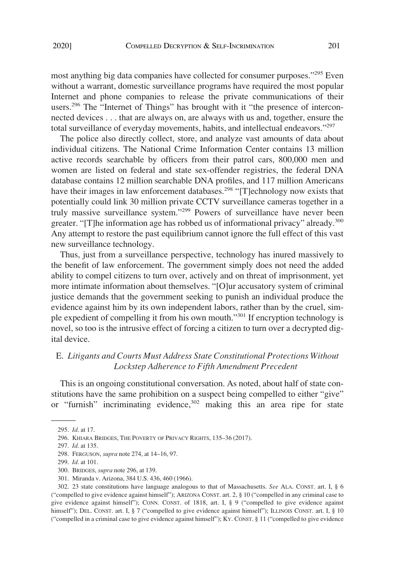most anything big data companies have collected for consumer purposes."295 Even without a warrant, domestic surveillance programs have required the most popular Internet and phone companies to release the private communications of their users.<sup>296</sup> The "Internet of Things" has brought with it "the presence of interconnected devices . . . that are always on, are always with us and, together, ensure the total surveillance of everyday movements, habits, and intellectual endeavors."297

The police also directly collect, store, and analyze vast amounts of data about individual citizens. The National Crime Information Center contains 13 million active records searchable by officers from their patrol cars, 800,000 men and women are listed on federal and state sex-offender registries, the federal DNA database contains 12 million searchable DNA profiles, and 117 million Americans have their images in law enforcement databases.<sup>298</sup> "[T]echnology now exists that potentially could link 30 million private CCTV surveillance cameras together in a truly massive surveillance system."299 Powers of surveillance have never been greater. "[T]he information age has robbed us of informational privacy" already.<sup>300</sup> Any attempt to restore the past equilibrium cannot ignore the full effect of this vast new surveillance technology.

Thus, just from a surveillance perspective, technology has inured massively to the benefit of law enforcement. The government simply does not need the added ability to compel citizens to turn over, actively and on threat of imprisonment, yet more intimate information about themselves. "[O]ur accusatory system of criminal justice demands that the government seeking to punish an individual produce the evidence against him by its own independent labors, rather than by the cruel, simple expedient of compelling it from his own mouth."301 If encryption technology is novel, so too is the intrusive effect of forcing a citizen to turn over a decrypted digital device.

## E. *Litigants and Courts Must Address State Constitutional Protections Without Lockstep Adherence to Fifth Amendment Precedent*

This is an ongoing constitutional conversation. As noted, about half of state constitutions have the same prohibition on a suspect being compelled to either "give" or "furnish" incriminating evidence,<sup>302</sup> making this an area ripe for state

<sup>295.</sup> *Id*. at 17.

<sup>296.</sup> KHIARA BRIDGES, THE POVERTY OF PRIVACY RIGHTS, 135–36 (2017).

<sup>297.</sup> *Id*. at 135.

<sup>298.</sup> FERGUSON, *supra* note 274, at 14–16, 97.

<sup>299.</sup> *Id*. at 101.

<sup>300.</sup> BRIDGES, *supra* note 296, at 139.

<sup>301.</sup> Miranda v. Arizona, 384 U.S. 436, 460 (1966).

<sup>302. 23</sup> state constitutions have language analogous to that of Massachusetts. *See* ALA. CONST. art. I, § 6 ("compelled to give evidence against himself"); ARIZONA CONST. art. 2, § 10 ("compelled in any criminal case to give evidence against himself"); CONN. CONST. of 1818, art. I, § 9 ("compelled to give evidence against himself"); DEL. CONST. art. I, § 7 ("compelled to give evidence against himself"); ILLINOIS CONST. art. I, § 10 ("compelled in a criminal case to give evidence against himself"); KY. CONST. § 11 ("compelled to give evidence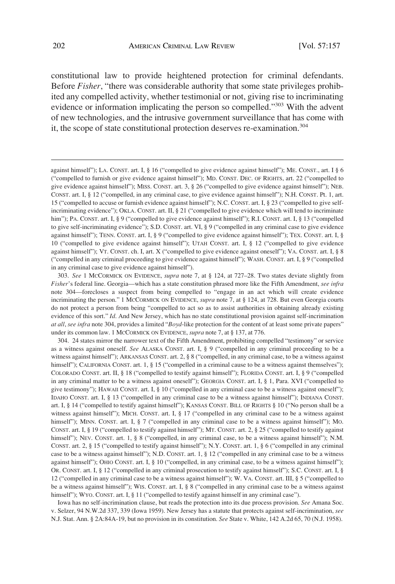constitutional law to provide heightened protection for criminal defendants. Before *Fisher*, "there was considerable authority that some state privileges prohibited any compelled activity, whether testimonial or not, giving rise to incriminating evidence or information implicating the person so compelled."<sup>303</sup> With the advent of new technologies, and the intrusive government surveillance that has come with it, the scope of state constitutional protection deserves re-examination.<sup>304</sup>

304. 24 states mirror the narrower text of the Fifth Amendment, prohibiting compelled "testimony" or service as a witness against oneself. *See* ALASKA CONST. art. I, § 9 ("compelled in any criminal proceeding to be a witness against himself"); ARKANSAS CONST. art. 2, § 8 ("compelled, in any criminal case, to be a witness against himself"); CALIFORNIA CONST. art. 1, § 15 ("compelled in a criminal cause to be a witness against themselves"); COLORADO CONST. art. II, § 18 ("compelled to testify against himself"); FLORIDA CONST. art. I, § 9 ("compelled in any criminal matter to be a witness against oneself"); GEORGIA CONST. art. I, § 1, Para. XVI ("compelled to give testimony"); HAWAII CONST. art. I, § 10 ("compelled in any criminal case to be a witness against oneself"); IDAHO CONST. art. I, § 13 ("compelled in any criminal case to be a witness against himself"); INDIANA CONST. art. I, § 14 ("compelled to testify against himself"); KANSAS CONST. BILL OF RIGHTS § 10 ("No person shall be a witness against himself"); MICH. CONST. art. I, § 17 ("compelled in any criminal case to be a witness against himself"); MINN. CONST. art. I, § 7 ("compelled in any criminal case to be a witness against himself"); Mo. CONST. art. I, § 19 ("compelled to testify against himself"); MT. CONST. art. 2, § 25 ("compelled to testify against himself"); NEV. CONST. art. 1, § 8 ("compelled, in any criminal case, to be a witness against himself"); N.M. CONST. art. 2, § 15 ("compelled to testify against himself"); N.Y. CONST. art. 1, § 6 ("compelled in any criminal case to be a witness against himself"); N.D. CONST. art. 1, § 12 ("compelled in any criminal case to be a witness against himself"); OHIO CONST. art. I, § 10 ("compelled, in any criminal case, to be a witness against himself"); OR. CONST. art. I, § 12 ("compelled in any criminal prosecution to testify against himself"); S.C. CONST. art. I, § 12 ("compelled in any criminal case to be a witness against himself"); W. VA. CONST. art. III, § 5 ("compelled to be a witness against himself"); WIS. CONST. art. I, § 8 ("compelled in any criminal case to be a witness against himself"); WYO. CONST. art. I, § 11 ("compelled to testify against himself in any criminal case").

Iowa has no self-incrimination clause, but reads the protection into its due process provision. *See* Amana Soc. v. Selzer, 94 N.W.2d 337, 339 (Iowa 1959). New Jersey has a statute that protects against self-incrimination, *see*  N.J. Stat. Ann. § 2A:84A-19, but no provision in its constitution. *See* State v. White, 142 A.2d 65, 70 (N.J. 1958).

against himself"); LA. CONST. art. I, § 16 ("compelled to give evidence against himself"); ME. CONST., art. I § 6 ("compelled to furnish or give evidence against himself"); MD. CONST. DEC. OF RIGHTS, art. 22 ("compelled to give evidence against himself"); MISS. CONST. art. 3, § 26 ("compelled to give evidence against himself"); NEB. CONST. art. I, § 12 ("compelled, in any criminal case, to give evidence against himself"); N.H. CONST. Pt. 1, art. 15 ("compelled to accuse or furnish evidence against himself"); N.C. CONST. art. I, § 23 ("compelled to give selfincriminating evidence"); OKLA. CONST. art. II, § 21 ("compelled to give evidence which will tend to incriminate him"); PA. CONST. art. I, § 9 ("compelled to give evidence against himself"); R.I. CONST. art. I, § 13 ("compelled to give self-incriminating evidence"); S.D. CONST. art. VI, § 9 ("compelled in any criminal case to give evidence against himself"); TENN. CONST. art. I, § 9 ("compelled to give evidence against himself"); TEX. CONST. art. I, § 10 ("compelled to give evidence against himself"); UTAH CONST. art. I, § 12 ("compelled to give evidence against himself"); VT. CONST. ch. I, art. X ("compelled to give evidence against oneself"); VA. CONST. art. I, § 8 ("compelled in any criminal proceeding to give evidence against himself"); WASH. CONST. art. I, § 9 ("compelled in any criminal case to give evidence against himself").

<sup>303.</sup> *See* 1 MCCORMICK ON EVIDENCE, *supra* note 7, at § 124, at 727–28. Two states deviate slightly from *Fisher*'s federal line. Georgia—which has a state constitution phrased more like the Fifth Amendment, *see infra*  note 304—forecloses a suspect from being compelled to "engage in an act which will create evidence incriminating the person." 1 MCCORMICK ON EVIDENCE, *supra* note 7, at § 124, at 728. But even Georgia courts do not protect a person from being "compelled to act so as to assist authorities in obtaining already existing evidence of this sort." *Id*. And New Jersey, which has no state constitutional provision against self-incrimination *at all*, *see infra* note 304, provides a limited "*Boyd*-like protection for the content of at least some private papers" under its common law. 1 MCCORMICK ON EVIDENCE, *supra* note 7, at § 137, at 776.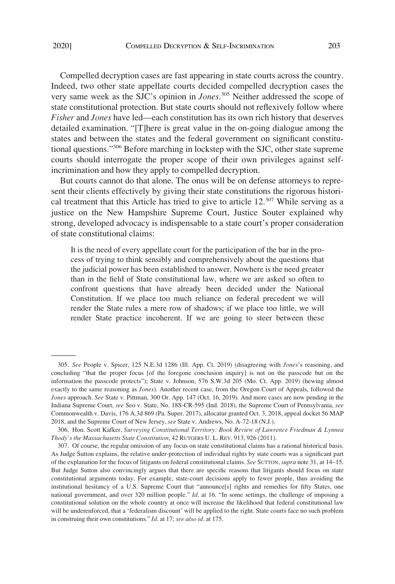Compelled decryption cases are fast appearing in state courts across the country. Indeed, two other state appellate courts decided compelled decryption cases the very same week as the SJC's opinion in *Jones*. 305 Neither addressed the scope of state constitutional protection. But state courts should not reflexively follow where *Fisher* and *Jones* have led—each constitution has its own rich history that deserves detailed examination. "[T]here is great value in the on-going dialogue among the states and between the states and the federal government on significant constitutional questions."306 Before marching in lockstep with the SJC, other state supreme courts should interrogate the proper scope of their own privileges against selfincrimination and how they apply to compelled decryption.

But courts cannot do that alone. The onus will be on defense attorneys to represent their clients effectively by giving their state constitutions the rigorous historical treatment that this Article has tried to give to article 12.307 While serving as a justice on the New Hampshire Supreme Court, Justice Souter explained why strong, developed advocacy is indispensable to a state court's proper consideration of state constitutional claims:

It is the need of every appellate court for the participation of the bar in the process of trying to think sensibly and comprehensively about the questions that the judicial power has been established to answer. Nowhere is the need greater than in the field of State constitutional law, where we are asked so often to confront questions that have already been decided under the National Constitution. If we place too much reliance on federal precedent we will render the State rules a mere row of shadows; if we place too little, we will render State practice incoherent. If we are going to steer between these

<sup>305.</sup> *See* People v. Spicer, 125 N.E.3d 1286 (Ill. App. Ct. 2019) (disagreeing with *Jones*'s reasoning, and concluding "that the proper focus [of the foregone conclusion inquiry] is not on the passcode but on the information the passcode protects"); State v. Johnson, 576 S.W.3d 205 (Mo. Ct. App. 2019) (hewing almost exactly to the same reasoning as *Jones*). Another recent case, from the Oregon Court of Appeals, followed the *Jones* approach. *See* State v. Pittman, 300 Or. App. 147 (Oct. 16, 2019). And more cases are now pending in the Indiana Supreme Court, *see* Seo v. State, No. 18S-CR-595 (Ind. 2018), the Supreme Court of Pennsylvania, *see*  Commonwealth v. Davis, 176 A.3d 869 (Pa. Super. 2017), allocatur granted Oct. 3, 2018, appeal docket 56 MAP 2018, and the Supreme Court of New Jersey, *see* State v. Andrews, No. A-72-18 (N.J.).

<sup>306.</sup> Hon. Scott Kafker, *Surveying Constitutional Territory: Book Review of Lawrence Friedman & Lynnea Thody's the Massachusetts State Constitution*, 42 RUTGERS U. L. REV. 913, 926 (2011).

<sup>307.</sup> Of course, the regular omission of any focus on state constitutional claims has a rational historical basis. As Judge Sutton explains, the relative under-protection of individual rights by state courts was a significant part of the explanation for the focus of litigants on federal constitutional claims. *See* SUTTON, *supra* note 31, at 14–15. But Judge Sutton also convincingly argues that there are specific reasons that litigants should focus on state constitutional arguments today. For example, state-court decisions apply to fewer people, thus avoiding the institutional hesitancy of a U.S. Supreme Court that "announce[s] rights and remedies for fifty States, one national government, and over 320 million people." *Id*. at 16. "In some settings, the challenge of imposing a constitutional solution on the whole country at once will increase the likelihood that federal constitutional law will be underenforced, that a 'federalism discount' will be applied to the right. State courts face no such problem in construing their own constitutions." *Id*. at 17; *see also id*. at 175.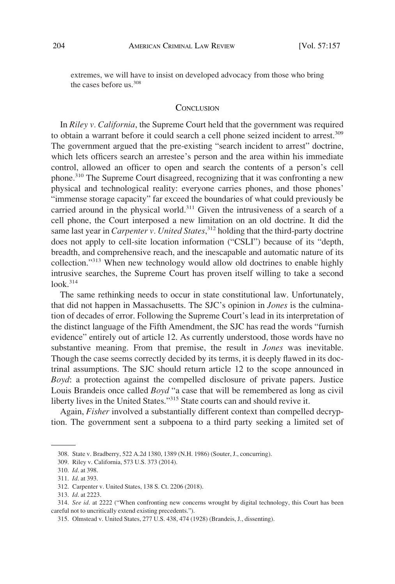extremes, we will have to insist on developed advocacy from those who bring the cases before  $\text{us}^{\,308}$ 

#### **CONCLUSION**

In *Riley v. California*, the Supreme Court held that the government was required to obtain a warrant before it could search a cell phone seized incident to arrest.<sup>309</sup> The government argued that the pre-existing "search incident to arrest" doctrine, which lets officers search an arrestee's person and the area within his immediate control, allowed an officer to open and search the contents of a person's cell phone.310 The Supreme Court disagreed, recognizing that it was confronting a new physical and technological reality: everyone carries phones, and those phones' "immense storage capacity" far exceed the boundaries of what could previously be carried around in the physical world.<sup>311</sup> Given the intrusiveness of a search of a cell phone, the Court interposed a new limitation on an old doctrine. It did the same last year in *Carpenter v. United States*, 312 holding that the third-party doctrine does not apply to cell-site location information ("CSLI") because of its "depth, breadth, and comprehensive reach, and the inescapable and automatic nature of its collection."313 When new technology would allow old doctrines to enable highly intrusive searches, the Supreme Court has proven itself willing to take a second  $look.<sup>314</sup>$ 

The same rethinking needs to occur in state constitutional law. Unfortunately, that did not happen in Massachusetts. The SJC's opinion in *Jones* is the culmination of decades of error. Following the Supreme Court's lead in its interpretation of the distinct language of the Fifth Amendment, the SJC has read the words "furnish evidence" entirely out of article 12. As currently understood, those words have no substantive meaning. From that premise, the result in *Jones* was inevitable. Though the case seems correctly decided by its terms, it is deeply flawed in its doctrinal assumptions. The SJC should return article 12 to the scope announced in *Boyd*: a protection against the compelled disclosure of private papers. Justice Louis Brandeis once called *Boyd* "a case that will be remembered as long as civil liberty lives in the United States."315 State courts can and should revive it.

Again, *Fisher* involved a substantially different context than compelled decryption. The government sent a subpoena to a third party seeking a limited set of

<sup>308.</sup> State v. Bradberry, 522 A.2d 1380, 1389 (N.H. 1986) (Souter, J., concurring).

<sup>309.</sup> Riley v. California, 573 U.S. 373 (2014).

<sup>310.</sup> *Id*. at 398.

<sup>311.</sup> *Id*. at 393.

<sup>312.</sup> Carpenter v. United States, 138 S. Ct. 2206 (2018).

<sup>313.</sup> *Id*. at 2223.

<sup>314.</sup> *See id*. at 2222 ("When confronting new concerns wrought by digital technology, this Court has been careful not to uncritically extend existing precedents.").

<sup>315.</sup> Olmstead v. United States, 277 U.S. 438, 474 (1928) (Brandeis, J., dissenting).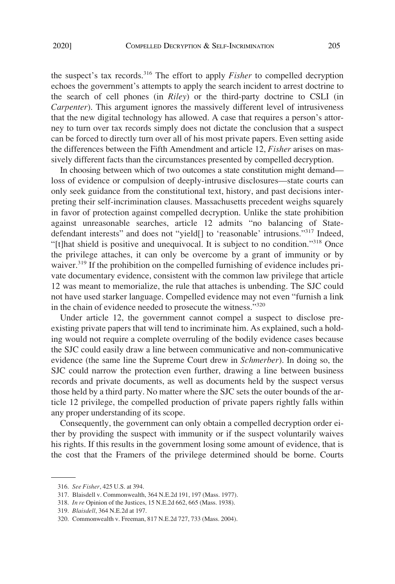the suspect's tax records.316 The effort to apply *Fisher* to compelled decryption echoes the government's attempts to apply the search incident to arrest doctrine to the search of cell phones (in *Riley*) or the third-party doctrine to CSLI (in *Carpenter*). This argument ignores the massively different level of intrusiveness that the new digital technology has allowed. A case that requires a person's attorney to turn over tax records simply does not dictate the conclusion that a suspect can be forced to directly turn over all of his most private papers. Even setting aside the differences between the Fifth Amendment and article 12, *Fisher* arises on massively different facts than the circumstances presented by compelled decryption.

In choosing between which of two outcomes a state constitution might demand loss of evidence or compulsion of deeply-intrusive disclosures—state courts can only seek guidance from the constitutional text, history, and past decisions interpreting their self-incrimination clauses. Massachusetts precedent weighs squarely in favor of protection against compelled decryption. Unlike the state prohibition against unreasonable searches, article 12 admits "no balancing of Statedefendant interests" and does not "yield[] to 'reasonable' intrusions."317 Indeed, "[t]hat shield is positive and unequivocal. It is subject to no condition."318 Once the privilege attaches, it can only be overcome by a grant of immunity or by waiver.<sup>319</sup> If the prohibition on the compelled furnishing of evidence includes private documentary evidence, consistent with the common law privilege that article 12 was meant to memorialize, the rule that attaches is unbending. The SJC could not have used starker language. Compelled evidence may not even "furnish a link in the chain of evidence needed to prosecute the witness."<sup>320</sup>

Under article 12, the government cannot compel a suspect to disclose preexisting private papers that will tend to incriminate him. As explained, such a holding would not require a complete overruling of the bodily evidence cases because the SJC could easily draw a line between communicative and non-communicative evidence (the same line the Supreme Court drew in *Schmerber*). In doing so, the SJC could narrow the protection even further, drawing a line between business records and private documents, as well as documents held by the suspect versus those held by a third party. No matter where the SJC sets the outer bounds of the article 12 privilege, the compelled production of private papers rightly falls within any proper understanding of its scope.

Consequently, the government can only obtain a compelled decryption order either by providing the suspect with immunity or if the suspect voluntarily waives his rights. If this results in the government losing some amount of evidence, that is the cost that the Framers of the privilege determined should be borne. Courts

<sup>316.</sup> *See Fisher*, 425 U.S. at 394.

<sup>317.</sup> Blaisdell v. Commonwealth, 364 N.E.2d 191, 197 (Mass. 1977).

<sup>318.</sup> *In re* Opinion of the Justices, 15 N.E.2d 662, 665 (Mass. 1938).

<sup>319.</sup> *Blaisdell*, 364 N.E.2d at 197.

<sup>320.</sup> Commonwealth v. Freeman, 817 N.E.2d 727, 733 (Mass. 2004).